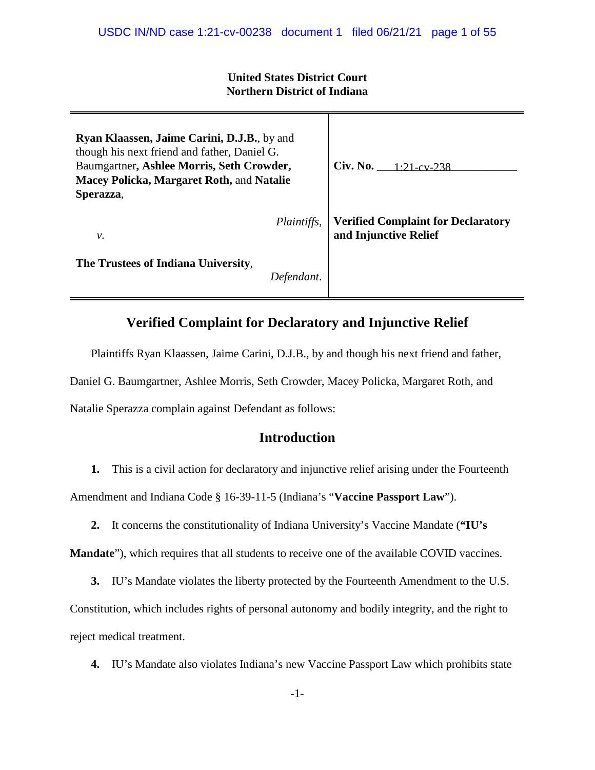## **United States District Court Northern District of Indiana**

| Ryan Klaassen, Jaime Carini, D.J.B., by and<br>though his next friend and father, Daniel G.<br>Baumgartner, Ashlee Morris, Seth Crowder,<br>Macey Policka, Margaret Roth, and Natalie<br>Sperazza, | Civ. No. $1:21-cv-238$                                             |
|----------------------------------------------------------------------------------------------------------------------------------------------------------------------------------------------------|--------------------------------------------------------------------|
| <i>Plaintiffs,</i><br>ν.                                                                                                                                                                           | <b>Verified Complaint for Declaratory</b><br>and Injunctive Relief |
| The Trustees of Indiana University,<br>Defendant.                                                                                                                                                  |                                                                    |

# **Verified Complaint for Declaratory and Injunctive Relief**

Plaintiffs Ryan Klaassen, Jaime Carini, D.J.B., by and though his next friend and father,

Daniel G. Baumgartner, Ashlee Morris, Seth Crowder, Macey Policka, Margaret Roth, and

Natalie Sperazza complain against Defendant as follows:

# **Introduction**

**1.** This is a civil action for declaratory and injunctive relief arising under the Fourteenth

Amendment and Indiana Code § 16-39-11-5 (Indiana's "**Vaccine Passport Law**").

**2.** It concerns the constitutionality of Indiana University's Vaccine Mandate (**"IU's**

**Mandate**"), which requires that all students to receive one of the available COVID vaccines.

**3.** IU's Mandate violates the liberty protected by the Fourteenth Amendment to the U.S.

Constitution, which includes rights of personal autonomy and bodily integrity, and the right to reject medical treatment.

**4.** IU's Mandate also violates Indiana's new Vaccine Passport Law which prohibits state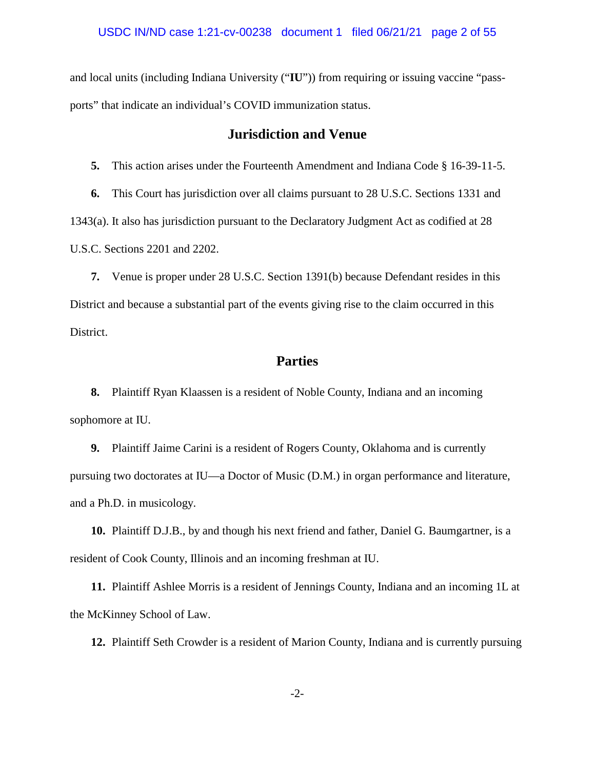and local units (including Indiana University ("**IU**")) from requiring or issuing vaccine "passports" that indicate an individual's COVID immunization status.

## **Jurisdiction and Venue**

**5.** This action arises under the Fourteenth Amendment and Indiana Code § 16-39-11-5.

**6.** This Court has jurisdiction over all claims pursuant to 28 U.S.C. Sections 1331 and 1343(a). It also has jurisdiction pursuant to the Declaratory Judgment Act as codified at 28 U.S.C. Sections 2201 and 2202.

**7.** Venue is proper under 28 U.S.C. Section 1391(b) because Defendant resides in this District and because a substantial part of the events giving rise to the claim occurred in this District.

# **Parties**

**8.** Plaintiff Ryan Klaassen is a resident of Noble County, Indiana and an incoming sophomore at IU.

**9.** Plaintiff Jaime Carini is a resident of Rogers County, Oklahoma and is currently pursuing two doctorates at IU—a Doctor of Music (D.M.) in organ performance and literature, and a Ph.D. in musicology.

**10.** Plaintiff D.J.B., by and though his next friend and father, Daniel G. Baumgartner, is a resident of Cook County, Illinois and an incoming freshman at IU.

**11.** Plaintiff Ashlee Morris is a resident of Jennings County, Indiana and an incoming 1L at the McKinney School of Law.

**12.** Plaintiff Seth Crowder is a resident of Marion County, Indiana and is currently pursuing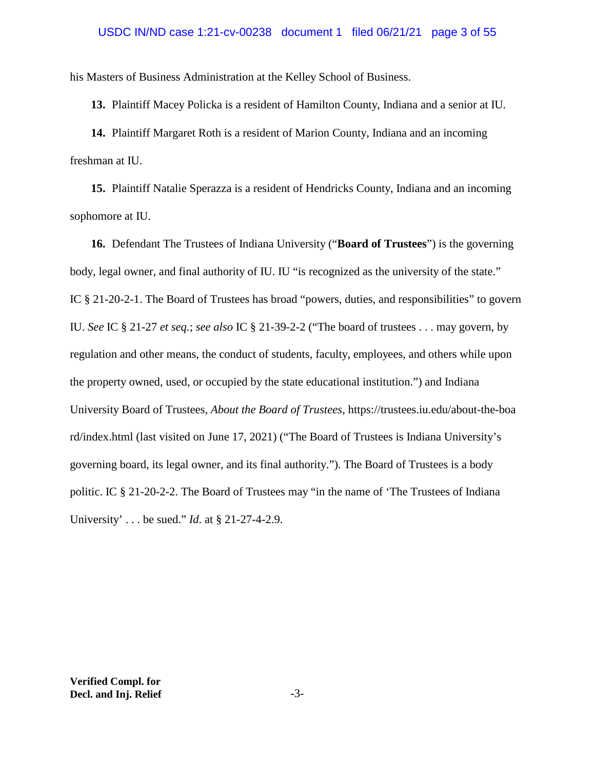### USDC IN/ND case 1:21-cv-00238 document 1 filed 06/21/21 page 3 of 55

his Masters of Business Administration at the Kelley School of Business.

**13.** Plaintiff Macey Policka is a resident of Hamilton County, Indiana and a senior at IU.

**14.** Plaintiff Margaret Roth is a resident of Marion County, Indiana and an incoming freshman at IU.

**15.** Plaintiff Natalie Sperazza is a resident of Hendricks County, Indiana and an incoming sophomore at IU.

**16.** Defendant The Trustees of Indiana University ("**Board of Trustees**") is the governing body, legal owner, and final authority of IU. IU "is recognized as the university of the state." IC § 21-20-2-1. The Board of Trustees has broad "powers, duties, and responsibilities" to govern IU. *See* IC § 21-27 *et seq.*; *see also* IC § 21-39-2-2 ("The board of trustees . . . may govern, by regulation and other means, the conduct of students, faculty, employees, and others while upon the property owned, used, or occupied by the state educational institution.") and Indiana University Board of Trustees*, About the Board of Trustees*, https://trustees.iu.edu/about-the-boa rd/index.html (last visited on June 17, 2021) ("The Board of Trustees is Indiana University's governing board, its legal owner, and its final authority."). The Board of Trustees is a body politic. IC § 21-20-2-2. The Board of Trustees may "in the name of 'The Trustees of Indiana University' . . . be sued." *Id*. at § 21-27-4-2.9.

**Verified Compl. for Decl. and Inj. Relief** -3-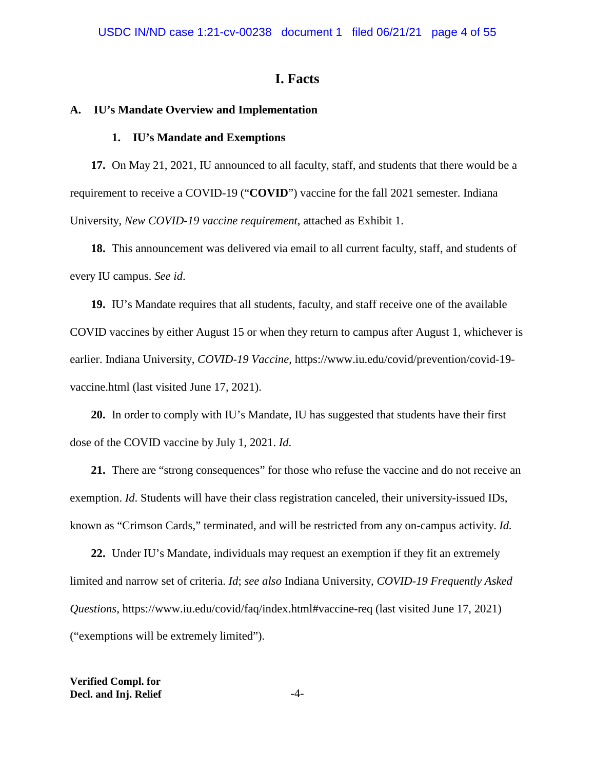# **I. Facts**

#### **A. IU's Mandate Overview and Implementation**

#### **1. IU's Mandate and Exemptions**

**17.** On May 21, 2021, IU announced to all faculty, staff, and students that there would be a requirement to receive a COVID-19 ("**COVID**") vaccine for the fall 2021 semester. Indiana University, *New COVID-19 vaccine requirement*, attached as Exhibit 1.

**18.** This announcement was delivered via email to all current faculty, staff, and students of every IU campus. *See id*.

**19.** IU's Mandate requires that all students, faculty, and staff receive one of the available COVID vaccines by either August 15 or when they return to campus after August 1, whichever is earlier. Indiana University, *COVID-19 Vaccine*, https://www.iu.edu/covid/prevention/covid-19 vaccine.html (last visited June 17, 2021).

**20.** In order to comply with IU's Mandate, IU has suggested that students have their first dose of the COVID vaccine by July 1, 2021. *Id*.

**21.** There are "strong consequences" for those who refuse the vaccine and do not receive an exemption. *Id*. Students will have their class registration canceled, their university-issued IDs, known as "Crimson Cards," terminated, and will be restricted from any on-campus activity. *Id.*

**22.** Under IU's Mandate, individuals may request an exemption if they fit an extremely limited and narrow set of criteria. *Id*; *see also* Indiana University, *COVID-19 Frequently Asked Questions*, https://www.iu.edu/covid/faq/index.html#vaccine-req (last visited June 17, 2021) ("exemptions will be extremely limited").

**Verified Compl. for Decl. and Inj. Relief** -4-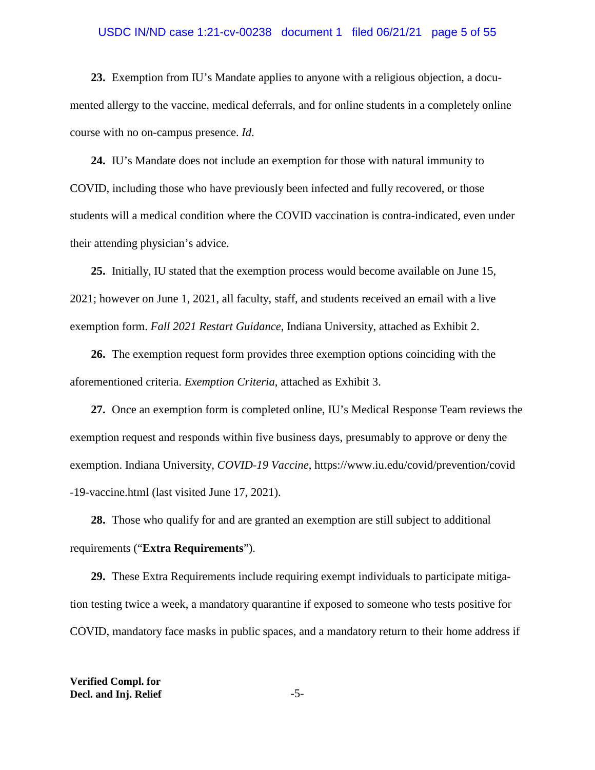### USDC IN/ND case 1:21-cv-00238 document 1 filed 06/21/21 page 5 of 55

**23.** Exemption from IU's Mandate applies to anyone with a religious objection, a documented allergy to the vaccine, medical deferrals, and for online students in a completely online course with no on-campus presence. *Id*.

**24.** IU's Mandate does not include an exemption for those with natural immunity to COVID, including those who have previously been infected and fully recovered, or those students will a medical condition where the COVID vaccination is contra-indicated, even under their attending physician's advice.

**25.** Initially, IU stated that the exemption process would become available on June 15, 2021; however on June 1, 2021, all faculty, staff, and students received an email with a live exemption form. *Fall 2021 Restart Guidance*, Indiana University, attached as Exhibit 2.

**26.** The exemption request form provides three exemption options coinciding with the aforementioned criteria. *Exemption Criteria*, attached as Exhibit 3.

**27.** Once an exemption form is completed online, IU's Medical Response Team reviews the exemption request and responds within five business days, presumably to approve or deny the exemption. Indiana University, *COVID-19 Vaccine*, https://www.iu.edu/covid/prevention/covid -19-vaccine.html (last visited June 17, 2021).

**28.** Those who qualify for and are granted an exemption are still subject to additional requirements ("**Extra Requirements**").

**29.** These Extra Requirements include requiring exempt individuals to participate mitigation testing twice a week, a mandatory quarantine if exposed to someone who tests positive for COVID, mandatory face masks in public spaces, and a mandatory return to their home address if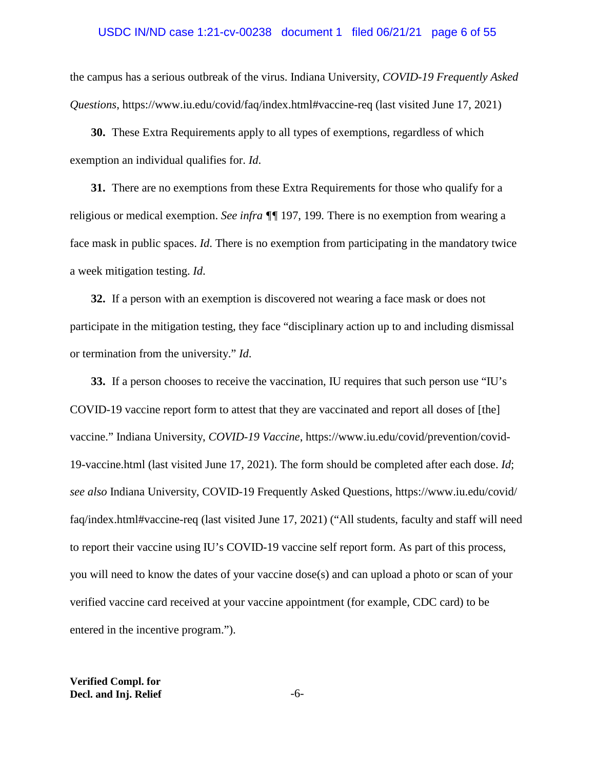### USDC IN/ND case 1:21-cv-00238 document 1 filed 06/21/21 page 6 of 55

the campus has a serious outbreak of the virus. Indiana University, *COVID-19 Frequently Asked Questions*, https://www.iu.edu/covid/faq/index.html#vaccine-req (last visited June 17, 2021)

**30.** These Extra Requirements apply to all types of exemptions, regardless of which exemption an individual qualifies for. *Id*.

**31.** There are no exemptions from these Extra Requirements for those who qualify for a religious or medical exemption. *See infra ¶¶* 197, 199*.* There is no exemption from wearing a face mask in public spaces. *Id*. There is no exemption from participating in the mandatory twice a week mitigation testing. *Id*.

**32.** If a person with an exemption is discovered not wearing a face mask or does not participate in the mitigation testing, they face "disciplinary action up to and including dismissal or termination from the university." *Id*.

**33.** If a person chooses to receive the vaccination, IU requires that such person use "IU's COVID-19 vaccine report form to attest that they are vaccinated and report all doses of [the] vaccine." Indiana University, *COVID-19 Vaccine*, https://www.iu.edu/covid/prevention/covid-19-vaccine.html (last visited June 17, 2021). The form should be completed after each dose. *Id*; *see also* Indiana University, COVID-19 Frequently Asked Questions, https://www.iu.edu/covid/ faq/index.html#vaccine-req (last visited June 17, 2021) ("All students, faculty and staff will need to report their vaccine using IU's COVID-19 vaccine self report form. As part of this process, you will need to know the dates of your vaccine dose(s) and can upload a photo or scan of your verified vaccine card received at your vaccine appointment (for example, CDC card) to be entered in the incentive program.").

**Verified Compl. for Decl. and Inj. Relief**  $-6$ -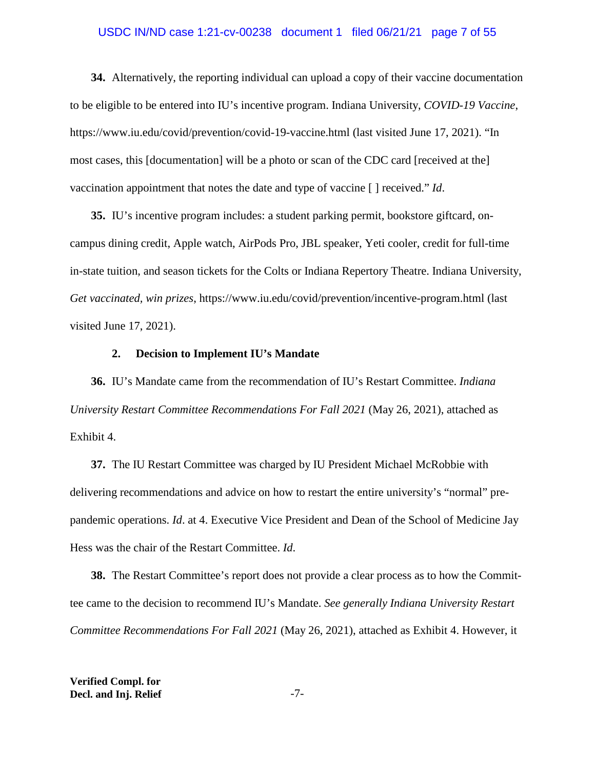## USDC IN/ND case 1:21-cv-00238 document 1 filed 06/21/21 page 7 of 55

**34.** Alternatively, the reporting individual can upload a copy of their vaccine documentation to be eligible to be entered into IU's incentive program. Indiana University, *COVID-19 Vaccine*, https://www.iu.edu/covid/prevention/covid-19-vaccine.html (last visited June 17, 2021). "In most cases, this [documentation] will be a photo or scan of the CDC card [received at the] vaccination appointment that notes the date and type of vaccine [ ] received." *Id*.

**35.** IU's incentive program includes: a student parking permit, bookstore giftcard, oncampus dining credit, Apple watch, AirPods Pro, JBL speaker, Yeti cooler, credit for full-time in-state tuition, and season tickets for the Colts or Indiana Repertory Theatre. Indiana University, *Get vaccinated, win prizes*, https://www.iu.edu/covid/prevention/incentive-program.html (last visited June 17, 2021).

## **2. Decision to Implement IU's Mandate**

**36.** IU's Mandate came from the recommendation of IU's Restart Committee. *Indiana University Restart Committee Recommendations For Fall 2021* (May 26, 2021), attached as Exhibit 4.

**37.** The IU Restart Committee was charged by IU President Michael McRobbie with delivering recommendations and advice on how to restart the entire university's "normal" prepandemic operations. *Id*. at 4. Executive Vice President and Dean of the School of Medicine Jay Hess was the chair of the Restart Committee. *Id*.

**38.** The Restart Committee's report does not provide a clear process as to how the Committee came to the decision to recommend IU's Mandate. *See generally Indiana University Restart Committee Recommendations For Fall 2021* (May 26, 2021), attached as Exhibit 4. However, it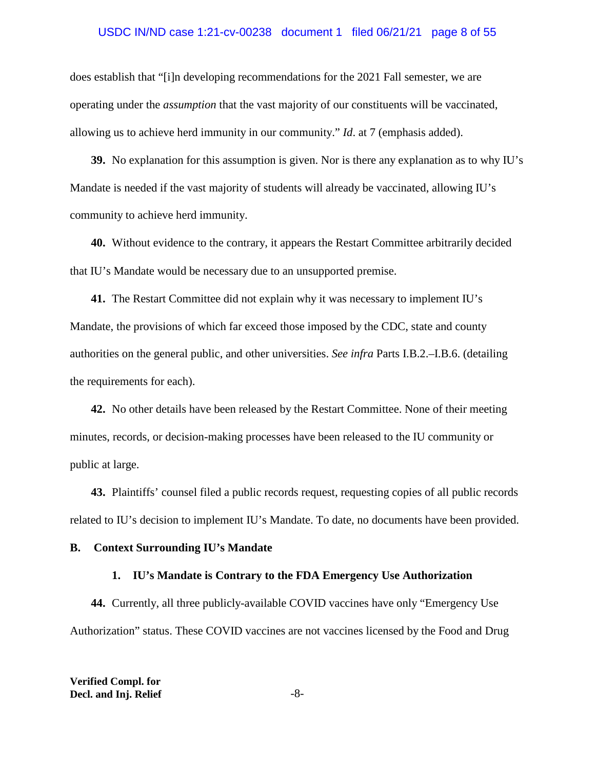### USDC IN/ND case 1:21-cv-00238 document 1 filed 06/21/21 page 8 of 55

does establish that "[i]n developing recommendations for the 2021 Fall semester, we are operating under the *assumption* that the vast majority of our constituents will be vaccinated, allowing us to achieve herd immunity in our community." *Id*. at 7 (emphasis added).

**39.** No explanation for this assumption is given. Nor is there any explanation as to why IU's Mandate is needed if the vast majority of students will already be vaccinated, allowing IU's community to achieve herd immunity.

**40.** Without evidence to the contrary, it appears the Restart Committee arbitrarily decided that IU's Mandate would be necessary due to an unsupported premise.

**41.** The Restart Committee did not explain why it was necessary to implement IU's Mandate, the provisions of which far exceed those imposed by the CDC, state and county authorities on the general public, and other universities. *See infra* Parts I.B.2.–I.B.6. (detailing the requirements for each).

**42.** No other details have been released by the Restart Committee. None of their meeting minutes, records, or decision-making processes have been released to the IU community or public at large.

**43.** Plaintiffs' counsel filed a public records request, requesting copies of all public records related to IU's decision to implement IU's Mandate. To date, no documents have been provided.

#### **B. Context Surrounding IU's Mandate**

#### **1. IU's Mandate is Contrary to the FDA Emergency Use Authorization**

**44.** Currently, all three publicly-available COVID vaccines have only "Emergency Use Authorization" status. These COVID vaccines are not vaccines licensed by the Food and Drug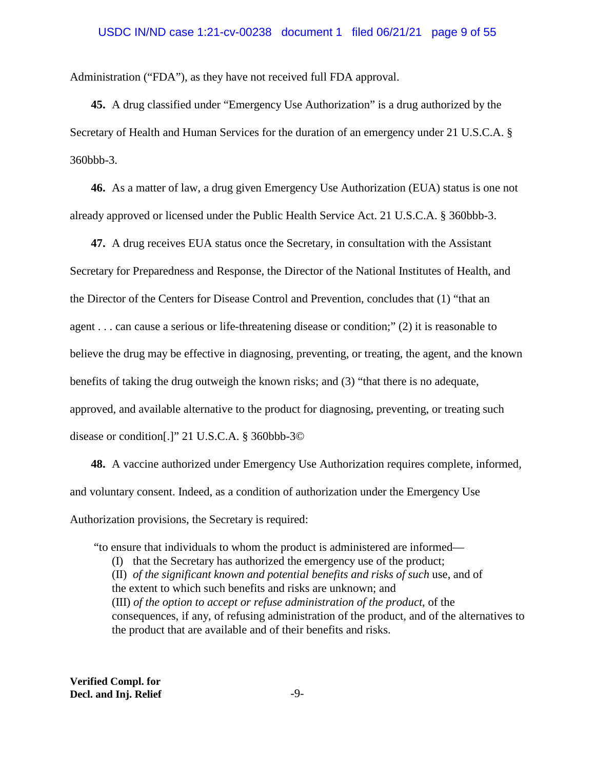### USDC IN/ND case 1:21-cv-00238 document 1 filed 06/21/21 page 9 of 55

Administration ("FDA"), as they have not received full FDA approval.

**45.** A drug classified under "Emergency Use Authorization" is a drug authorized by the Secretary of Health and Human Services for the duration of an emergency under 21 U.S.C.A. § 360bbb-3.

**46.** As a matter of law, a drug given Emergency Use Authorization (EUA) status is one not already approved or licensed under the Public Health Service Act. 21 U.S.C.A. § 360bbb-3.

**47.** A drug receives EUA status once the Secretary, in consultation with the Assistant Secretary for Preparedness and Response, the Director of the National Institutes of Health, and the Director of the Centers for Disease Control and Prevention, concludes that (1) "that an agent . . . can cause a serious or life-threatening disease or condition;" (2) it is reasonable to believe the drug may be effective in diagnosing, preventing, or treating, the agent, and the known benefits of taking the drug outweigh the known risks; and (3) "that there is no adequate, approved, and available alternative to the product for diagnosing, preventing, or treating such disease or condition[.]" 21 U.S.C.A. § 360bbb-3©

**48.** A vaccine authorized under Emergency Use Authorization requires complete, informed, and voluntary consent. Indeed, as a condition of authorization under the Emergency Use Authorization provisions, the Secretary is required:

"to ensure that individuals to whom the product is administered are informed—

(I) that the Secretary has authorized the emergency use of the product;

(II) *of the significant known and potential benefits and risks of such* use, and of the extent to which such benefits and risks are unknown; and (III) *of the option to accept or refuse administration of the product*, of the consequences, if any, of refusing administration of the product, and of the alternatives to the product that are available and of their benefits and risks.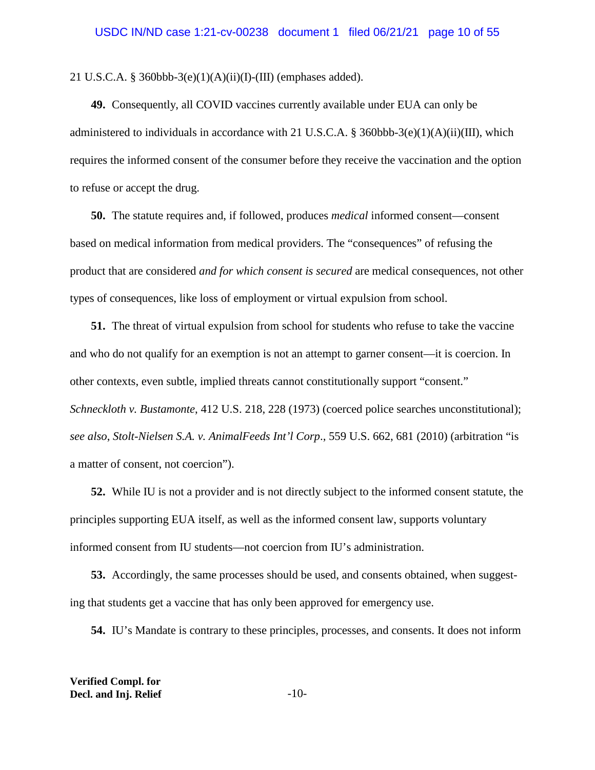21 U.S.C.A. § 360bbb-3(e)(1)(A)(ii)(I)-(III) (emphases added).

**49.** Consequently, all COVID vaccines currently available under EUA can only be administered to individuals in accordance with 21 U.S.C.A. § 360bbb-3(e)(1)(A)(ii)(III), which requires the informed consent of the consumer before they receive the vaccination and the option to refuse or accept the drug.

**50.** The statute requires and, if followed, produces *medical* informed consent—consent based on medical information from medical providers. The "consequences" of refusing the product that are considered *and for which consent is secured* are medical consequences, not other types of consequences, like loss of employment or virtual expulsion from school.

**51.** The threat of virtual expulsion from school for students who refuse to take the vaccine and who do not qualify for an exemption is not an attempt to garner consent—it is coercion. In other contexts, even subtle, implied threats cannot constitutionally support "consent." *Schneckloth v. Bustamonte*, 412 U.S. 218, 228 (1973) (coerced police searches unconstitutional); *see also*, *Stolt-Nielsen S.A. v. AnimalFeeds Int'l Corp*., 559 U.S. 662, 681 (2010) (arbitration "is a matter of consent, not coercion").

**52.** While IU is not a provider and is not directly subject to the informed consent statute, the principles supporting EUA itself, as well as the informed consent law, supports voluntary informed consent from IU students—not coercion from IU's administration.

**53.** Accordingly, the same processes should be used, and consents obtained, when suggesting that students get a vaccine that has only been approved for emergency use.

**54.** IU's Mandate is contrary to these principles, processes, and consents. It does not inform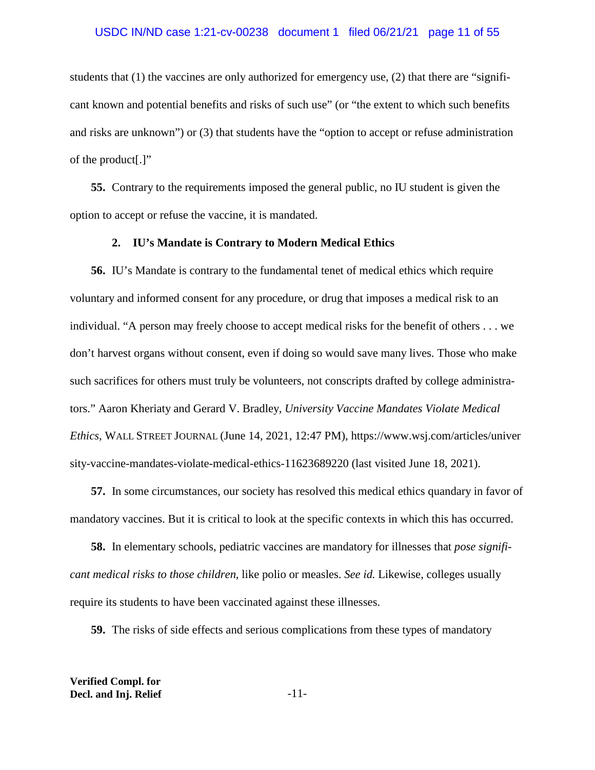students that (1) the vaccines are only authorized for emergency use, (2) that there are "significant known and potential benefits and risks of such use" (or "the extent to which such benefits and risks are unknown") or (3) that students have the "option to accept or refuse administration of the product[.]"

**55.** Contrary to the requirements imposed the general public, no IU student is given the option to accept or refuse the vaccine, it is mandated.

#### **2. IU's Mandate is Contrary to Modern Medical Ethics**

**56.** IU's Mandate is contrary to the fundamental tenet of medical ethics which require voluntary and informed consent for any procedure, or drug that imposes a medical risk to an individual. "A person may freely choose to accept medical risks for the benefit of others . . . we don't harvest organs without consent, even if doing so would save many lives. Those who make such sacrifices for others must truly be volunteers, not conscripts drafted by college administrators." Aaron Kheriaty and Gerard V. Bradley, *University Vaccine Mandates Violate Medical Ethics*, WALL STREET JOURNAL (June 14, 2021, 12:47 PM), https://www.wsj.com/articles/univer sity-vaccine-mandates-violate-medical-ethics-11623689220 (last visited June 18, 2021).

**57.** In some circumstances, our society has resolved this medical ethics quandary in favor of mandatory vaccines. But it is critical to look at the specific contexts in which this has occurred.

**58.** In elementary schools, pediatric vaccines are mandatory for illnesses that *pose significant medical risks to those children*, like polio or measles. *See id.* Likewise, colleges usually require its students to have been vaccinated against these illnesses.

**59.** The risks of side effects and serious complications from these types of mandatory

**Verified Compl. for Decl. and Inj. Relief** -11-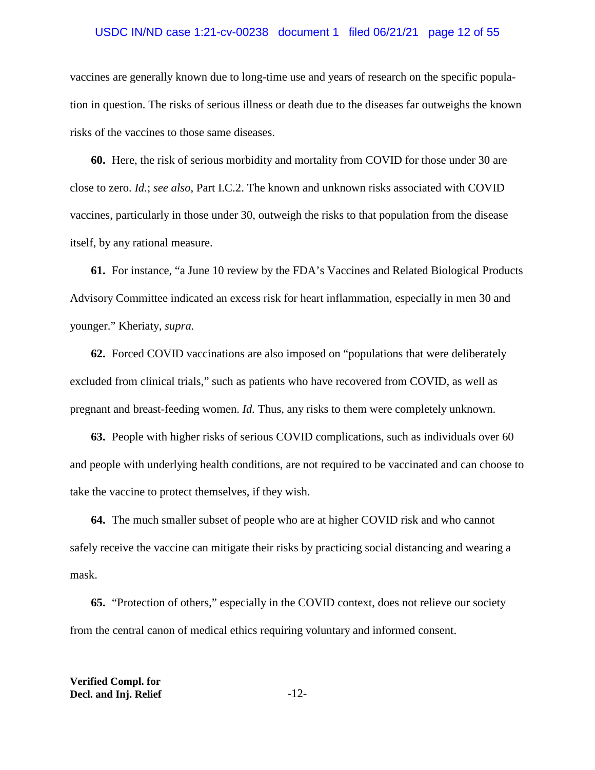## USDC IN/ND case 1:21-cv-00238 document 1 filed 06/21/21 page 12 of 55

vaccines are generally known due to long-time use and years of research on the specific population in question. The risks of serious illness or death due to the diseases far outweighs the known risks of the vaccines to those same diseases.

**60.** Here, the risk of serious morbidity and mortality from COVID for those under 30 are close to zero. *Id.*; *see also*, Part I.C.2. The known and unknown risks associated with COVID vaccines, particularly in those under 30, outweigh the risks to that population from the disease itself, by any rational measure.

**61.** For instance, "a June 10 review by the FDA's Vaccines and Related Biological Products Advisory Committee indicated an excess risk for heart inflammation, especially in men 30 and younger." Kheriaty*, supra.* 

**62.** Forced COVID vaccinations are also imposed on "populations that were deliberately excluded from clinical trials," such as patients who have recovered from COVID, as well as pregnant and breast-feeding women. *Id.* Thus, any risks to them were completely unknown.

**63.** People with higher risks of serious COVID complications, such as individuals over 60 and people with underlying health conditions, are not required to be vaccinated and can choose to take the vaccine to protect themselves, if they wish.

**64.** The much smaller subset of people who are at higher COVID risk and who cannot safely receive the vaccine can mitigate their risks by practicing social distancing and wearing a mask.

**65.** "Protection of others," especially in the COVID context, does not relieve our society from the central canon of medical ethics requiring voluntary and informed consent.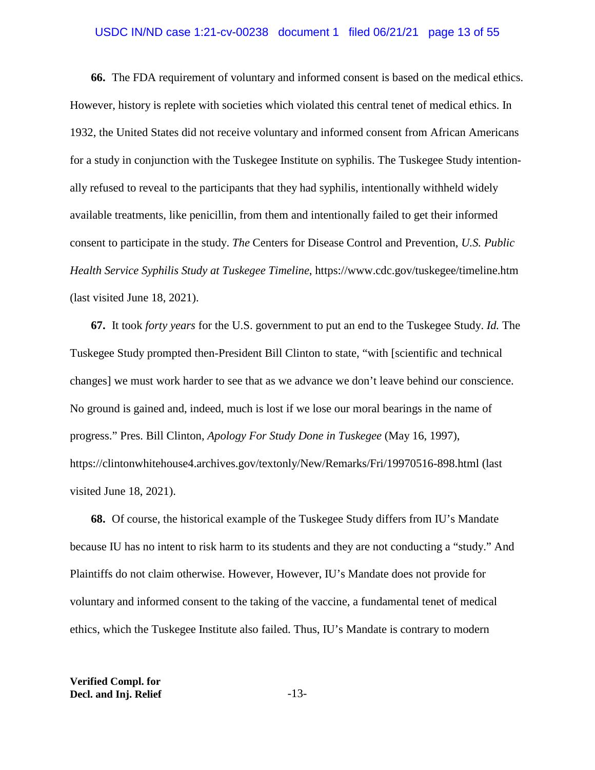### USDC IN/ND case 1:21-cv-00238 document 1 filed 06/21/21 page 13 of 55

**66.** The FDA requirement of voluntary and informed consent is based on the medical ethics. However, history is replete with societies which violated this central tenet of medical ethics. In 1932, the United States did not receive voluntary and informed consent from African Americans for a study in conjunction with the Tuskegee Institute on syphilis. The Tuskegee Study intentionally refused to reveal to the participants that they had syphilis, intentionally withheld widely available treatments, like penicillin, from them and intentionally failed to get their informed consent to participate in the study. *The* Centers for Disease Control and Prevention, *U.S. Public Health Service Syphilis Study at Tuskegee Timeline*, https://www.cdc.gov/tuskegee/timeline.htm (last visited June 18, 2021).

**67.** It took *forty years* for the U.S. government to put an end to the Tuskegee Study. *Id.* The Tuskegee Study prompted then-President Bill Clinton to state, "with [scientific and technical changes] we must work harder to see that as we advance we don't leave behind our conscience. No ground is gained and, indeed, much is lost if we lose our moral bearings in the name of progress." Pres. Bill Clinton, *Apology For Study Done in Tuskegee* (May 16, 1997), https://clintonwhitehouse4.archives.gov/textonly/New/Remarks/Fri/19970516-898.html (last visited June 18, 2021).

**68.** Of course, the historical example of the Tuskegee Study differs from IU's Mandate because IU has no intent to risk harm to its students and they are not conducting a "study." And Plaintiffs do not claim otherwise. However, However, IU's Mandate does not provide for voluntary and informed consent to the taking of the vaccine, a fundamental tenet of medical ethics, which the Tuskegee Institute also failed. Thus, IU's Mandate is contrary to modern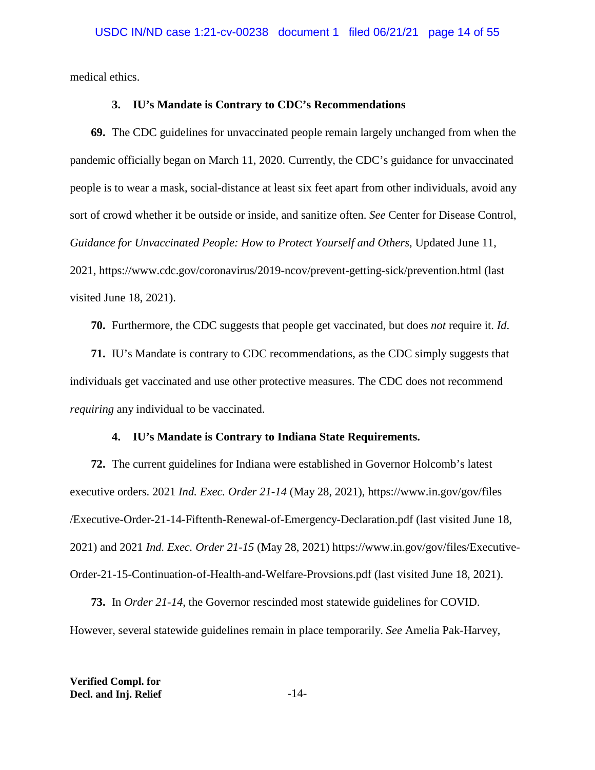medical ethics.

### **3. IU's Mandate is Contrary to CDC's Recommendations**

**69.** The CDC guidelines for unvaccinated people remain largely unchanged from when the pandemic officially began on March 11, 2020. Currently, the CDC's guidance for unvaccinated people is to wear a mask, social-distance at least six feet apart from other individuals, avoid any sort of crowd whether it be outside or inside, and sanitize often. *See* Center for Disease Control, *Guidance for Unvaccinated People: How to Protect Yourself and Others*, Updated June 11, 2021, https://www.cdc.gov/coronavirus/2019-ncov/prevent-getting-sick/prevention.html (last visited June 18, 2021).

**70.** Furthermore, the CDC suggests that people get vaccinated, but does *not* require it. *Id*.

**71.** IU's Mandate is contrary to CDC recommendations, as the CDC simply suggests that individuals get vaccinated and use other protective measures. The CDC does not recommend *requiring* any individual to be vaccinated.

### **4. IU's Mandate is Contrary to Indiana State Requirements.**

**72.** The current guidelines for Indiana were established in Governor Holcomb's latest executive orders. 2021 *Ind. Exec. Order 21-14* (May 28, 2021), https://www.in.gov/gov/files /Executive-Order-21-14-Fiftenth-Renewal-of-Emergency-Declaration.pdf (last visited June 18, 2021) and 2021 *Ind. Exec. Order 21-15* (May 28, 2021) https://www.in.gov/gov/files/Executive-Order-21-15-Continuation-of-Health-and-Welfare-Provsions.pdf (last visited June 18, 2021).

**73.** In *Order 21-14*, the Governor rescinded most statewide guidelines for COVID. However, several statewide guidelines remain in place temporarily. *See* Amelia Pak-Harvey,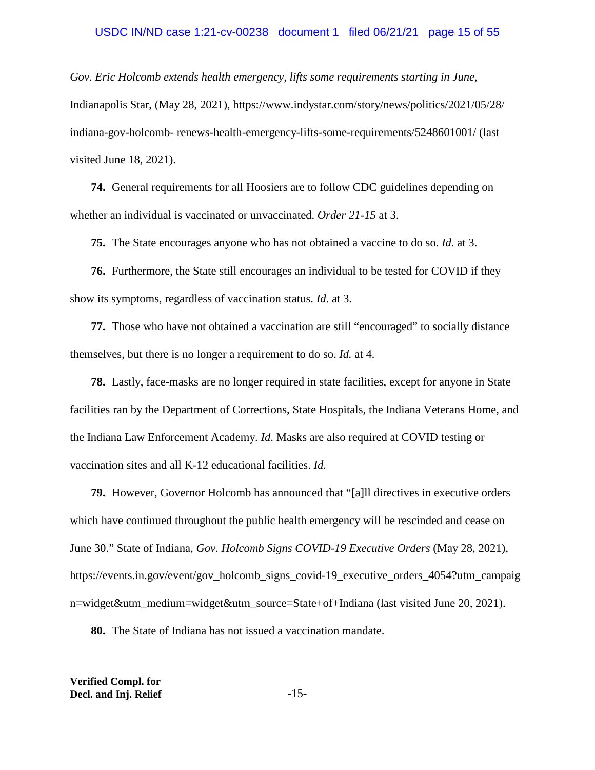#### USDC IN/ND case 1:21-cv-00238 document 1 filed 06/21/21 page 15 of 55

*Gov. Eric Holcomb extends health emergency, lifts some requirements starting in June*, Indianapolis Star, (May 28, 2021), https://www.indystar.com/story/news/politics/2021/05/28/ indiana-gov-holcomb- renews-health-emergency-lifts-some-requirements/5248601001/ (last visited June 18, 2021).

**74.** General requirements for all Hoosiers are to follow CDC guidelines depending on whether an individual is vaccinated or unvaccinated. *Order 21-15* at 3.

**75.** The State encourages anyone who has not obtained a vaccine to do so. *Id.* at 3.

**76.** Furthermore, the State still encourages an individual to be tested for COVID if they show its symptoms, regardless of vaccination status. *Id*. at 3.

**77.** Those who have not obtained a vaccination are still "encouraged" to socially distance themselves, but there is no longer a requirement to do so. *Id.* at 4.

**78.** Lastly, face-masks are no longer required in state facilities, except for anyone in State facilities ran by the Department of Corrections, State Hospitals, the Indiana Veterans Home, and the Indiana Law Enforcement Academy. *Id*. Masks are also required at COVID testing or vaccination sites and all K-12 educational facilities. *Id.* 

**79.** However, Governor Holcomb has announced that "[a]ll directives in executive orders which have continued throughout the public health emergency will be rescinded and cease on June 30." State of Indiana, *Gov. Holcomb Signs COVID-19 Executive Orders* (May 28, 2021), https://events.in.gov/event/gov\_holcomb\_signs\_covid-19\_executive\_orders\_4054?utm\_campaig n=widget&utm\_medium=widget&utm\_source=State+of+Indiana (last visited June 20, 2021).

**80.** The State of Indiana has not issued a vaccination mandate.

**Verified Compl. for Decl. and Inj. Relief** -15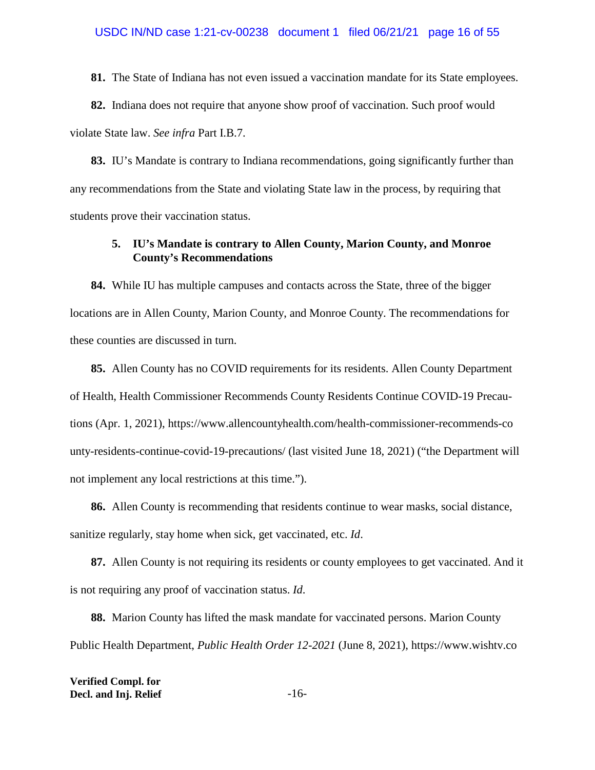**81.** The State of Indiana has not even issued a vaccination mandate for its State employees.

**82.** Indiana does not require that anyone show proof of vaccination. Such proof would violate State law. *See infra* Part I.B.7.

**83.** IU's Mandate is contrary to Indiana recommendations, going significantly further than any recommendations from the State and violating State law in the process, by requiring that students prove their vaccination status.

## **5. IU's Mandate is contrary to Allen County, Marion County, and Monroe County's Recommendations**

**84.** While IU has multiple campuses and contacts across the State, three of the bigger locations are in Allen County, Marion County, and Monroe County. The recommendations for these counties are discussed in turn.

**85.** Allen County has no COVID requirements for its residents. Allen County Department of Health, Health Commissioner Recommends County Residents Continue COVID-19 Precautions (Apr. 1, 2021), https://www.allencountyhealth.com/health-commissioner-recommends-co unty-residents-continue-covid-19-precautions/ (last visited June 18, 2021) ("the Department will not implement any local restrictions at this time.").

**86.** Allen County is recommending that residents continue to wear masks, social distance, sanitize regularly, stay home when sick, get vaccinated, etc. *Id*.

**87.** Allen County is not requiring its residents or county employees to get vaccinated. And it is not requiring any proof of vaccination status. *Id*.

**88.** Marion County has lifted the mask mandate for vaccinated persons. Marion County Public Health Department, *Public Health Order 12-2021* (June 8, 2021), https://www.wishtv.co

**Verified Compl. for Decl. and Inj. Relief** -16-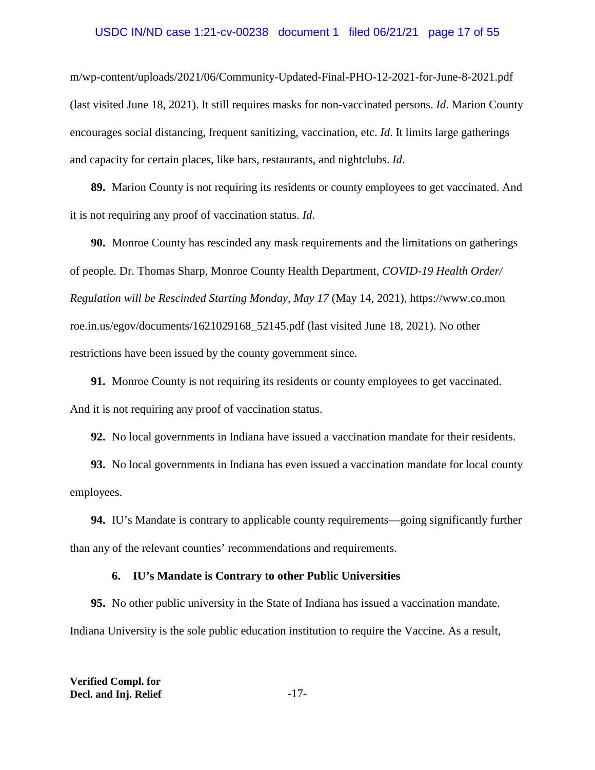## USDC IN/ND case 1:21-cv-00238 document 1 filed 06/21/21 page 17 of 55

m/wp-content/uploads/2021/06/Community-Updated-Final-PHO-12-2021-for-June-8-2021.pdf (last visited June 18, 2021). It still requires masks for non-vaccinated persons. *Id*. Marion County encourages social distancing, frequent sanitizing, vaccination, etc. *Id*. It limits large gatherings and capacity for certain places, like bars, restaurants, and nightclubs. *Id*.

**89.** Marion County is not requiring its residents or county employees to get vaccinated. And it is not requiring any proof of vaccination status. *Id*.

**90.** Monroe County has rescinded any mask requirements and the limitations on gatherings of people. Dr. Thomas Sharp, Monroe County Health Department, *COVID-19 Health Order/ Regulation will be Rescinded Starting Monday, May 17* (May 14, 2021), https://www.co.mon roe.in.us/egov/documents/1621029168\_52145.pdf (last visited June 18, 2021). No other restrictions have been issued by the county government since.

**91.** Monroe County is not requiring its residents or county employees to get vaccinated. And it is not requiring any proof of vaccination status.

**92.** No local governments in Indiana have issued a vaccination mandate for their residents.

**93.** No local governments in Indiana has even issued a vaccination mandate for local county employees.

**94.** IU's Mandate is contrary to applicable county requirements—going significantly further than any of the relevant counties' recommendations and requirements.

## **6. IU's Mandate is Contrary to other Public Universities**

**95.** No other public university in the State of Indiana has issued a vaccination mandate. Indiana University is the sole public education institution to require the Vaccine. As a result,

| <b>Verified Compl. for</b> |        |
|----------------------------|--------|
| Decl. and Inj. Relief      | $-17-$ |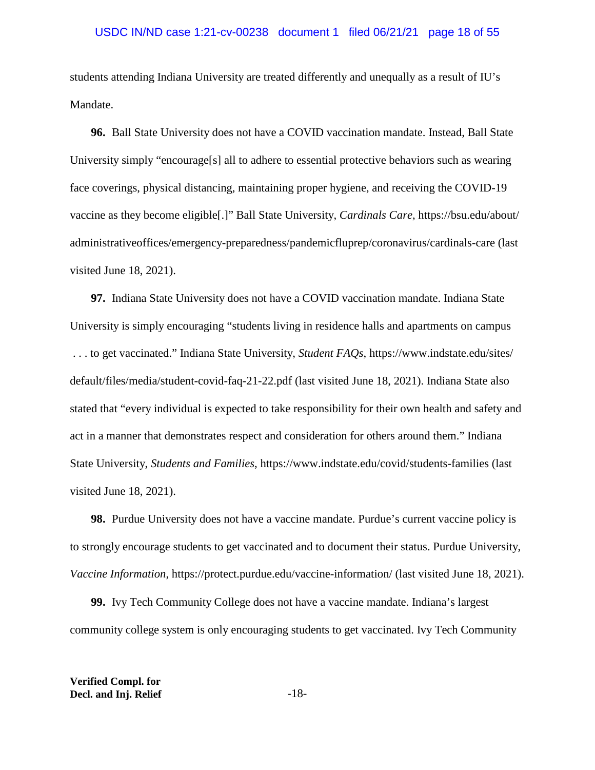students attending Indiana University are treated differently and unequally as a result of IU's Mandate.

**96.** Ball State University does not have a COVID vaccination mandate. Instead, Ball State University simply "encourage[s] all to adhere to essential protective behaviors such as wearing face coverings, physical distancing, maintaining proper hygiene, and receiving the COVID-19 vaccine as they become eligible[.]" Ball State University, *Cardinals Care*, https://bsu.edu/about/ administrativeoffices/emergency-preparedness/pandemicfluprep/coronavirus/cardinals-care (last visited June 18, 2021).

**97.** Indiana State University does not have a COVID vaccination mandate. Indiana State University is simply encouraging "students living in residence halls and apartments on campus . . . to get vaccinated." Indiana State University, *Student FAQs*, https://www.indstate.edu/sites/ default/files/media/student-covid-faq-21-22.pdf (last visited June 18, 2021). Indiana State also stated that "every individual is expected to take responsibility for their own health and safety and act in a manner that demonstrates respect and consideration for others around them." Indiana State University, *Students and Families*, https://www.indstate.edu/covid/students-families (last visited June 18, 2021).

**98.** Purdue University does not have a vaccine mandate. Purdue's current vaccine policy is to strongly encourage students to get vaccinated and to document their status. Purdue University, *Vaccine Information*, https://protect.purdue.edu/vaccine-information/ (last visited June 18, 2021).

**99.** Ivy Tech Community College does not have a vaccine mandate. Indiana's largest community college system is only encouraging students to get vaccinated. Ivy Tech Community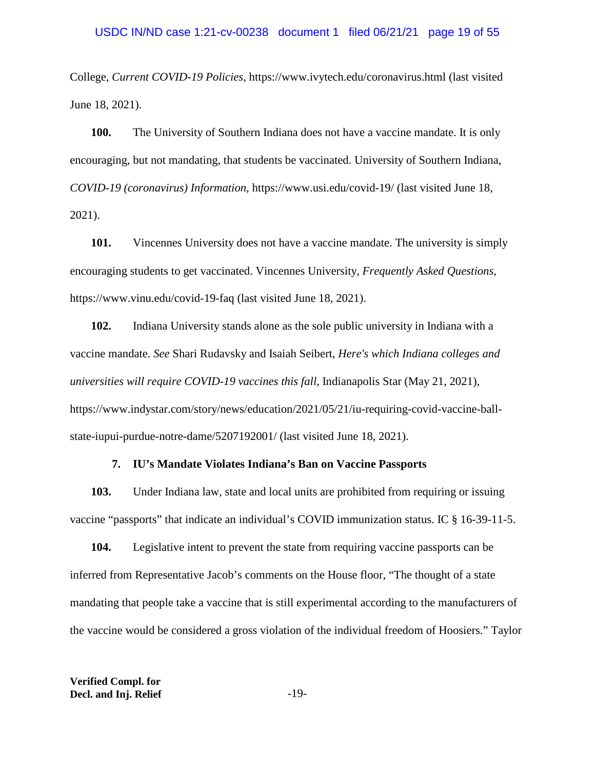College, *Current COVID-19 Policies*, https://www.ivytech.edu/coronavirus.html (last visited June 18, 2021).

**100.** The University of Southern Indiana does not have a vaccine mandate. It is only encouraging, but not mandating, that students be vaccinated. University of Southern Indiana, *COVID-19 (coronavirus) Information*, https://www.usi.edu/covid-19/ (last visited June 18, 2021).

**101.** Vincennes University does not have a vaccine mandate. The university is simply encouraging students to get vaccinated. Vincennes University, *Frequently Asked Questions*, https://www.vinu.edu/covid-19-faq (last visited June 18, 2021).

**102.** Indiana University stands alone as the sole public university in Indiana with a vaccine mandate. *See* Shari Rudavsky and Isaiah Seibert, *Here's which Indiana colleges and universities will require COVID-19 vaccines this fall*, Indianapolis Star (May 21, 2021), https://www.indystar.com/story/news/education/2021/05/21/iu-requiring-covid-vaccine-ballstate-iupui-purdue-notre-dame/5207192001/ (last visited June 18, 2021).

#### **7. IU's Mandate Violates Indiana's Ban on Vaccine Passports**

**103.** Under Indiana law, state and local units are prohibited from requiring or issuing vaccine "passports" that indicate an individual's COVID immunization status. IC § 16-39-11-5.

**104.** Legislative intent to prevent the state from requiring vaccine passports can be inferred from Representative Jacob's comments on the House floor, "The thought of a state mandating that people take a vaccine that is still experimental according to the manufacturers of the vaccine would be considered a gross violation of the individual freedom of Hoosiers." Taylor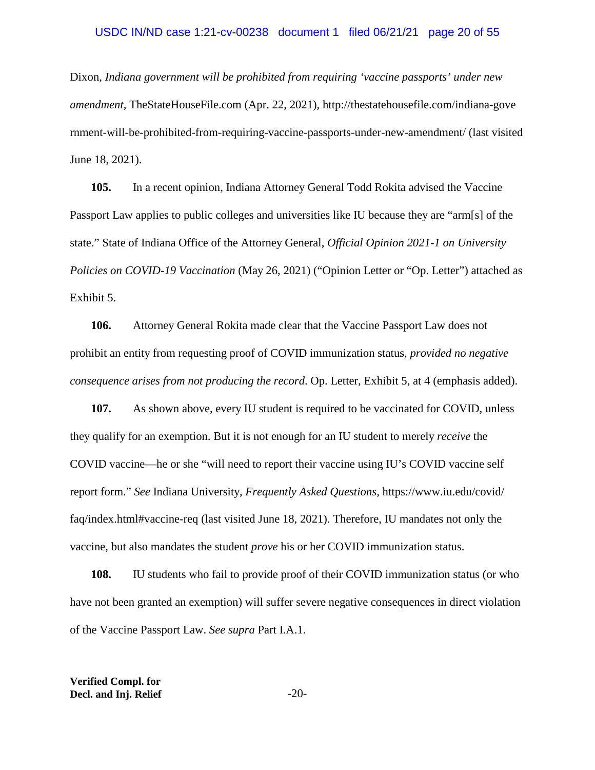#### USDC IN/ND case 1:21-cv-00238 document 1 filed 06/21/21 page 20 of 55

Dixon, *Indiana government will be prohibited from requiring 'vaccine passports' under new amendment*, TheStateHouseFile.com (Apr. 22, 2021), http://thestatehousefile.com/indiana-gove rnment-will-be-prohibited-from-requiring-vaccine-passports-under-new-amendment/ (last visited June 18, 2021).

**105.** In a recent opinion, Indiana Attorney General Todd Rokita advised the Vaccine Passport Law applies to public colleges and universities like IU because they are "arm[s] of the state." State of Indiana Office of the Attorney General, *Official Opinion 2021-1 on University Policies on COVID-19 Vaccination* (May 26, 2021) ("Opinion Letter or "Op. Letter") attached as Exhibit 5.

**106.** Attorney General Rokita made clear that the Vaccine Passport Law does not prohibit an entity from requesting proof of COVID immunization status*, provided no negative consequence arises from not producing the record*. Op. Letter, Exhibit 5, at 4 (emphasis added).

**107.** As shown above, every IU student is required to be vaccinated for COVID, unless they qualify for an exemption. But it is not enough for an IU student to merely *receive* the COVID vaccine—he or she "will need to report their vaccine using IU's COVID vaccine self report form." *See* Indiana University, *Frequently Asked Questions*, https://www.iu.edu/covid/ faq/index.html#vaccine-req (last visited June 18, 2021). Therefore, IU mandates not only the vaccine, but also mandates the student *prove* his or her COVID immunization status.

**108.** IU students who fail to provide proof of their COVID immunization status (or who have not been granted an exemption) will suffer severe negative consequences in direct violation of the Vaccine Passport Law. *See supra* Part I.A.1.

**Verified Compl. for Decl. and Inj. Relief** -20-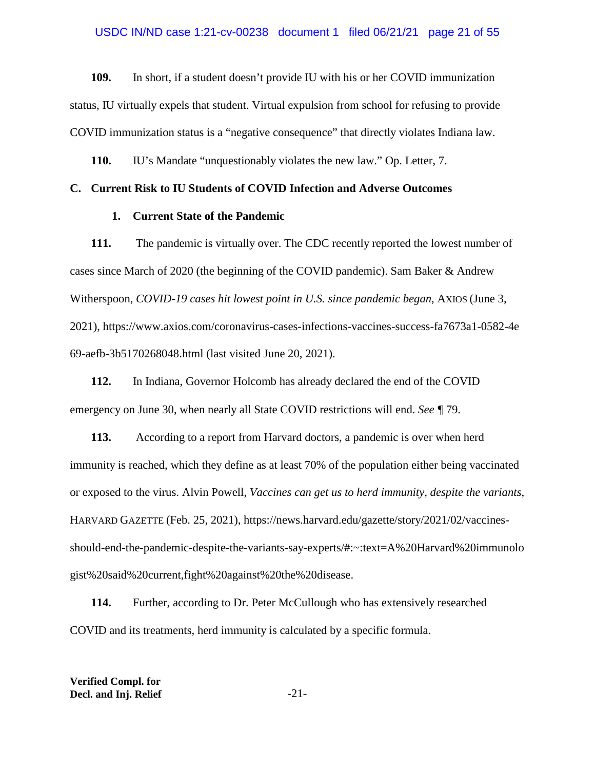**109.** In short, if a student doesn't provide IU with his or her COVID immunization status, IU virtually expels that student. Virtual expulsion from school for refusing to provide COVID immunization status is a "negative consequence" that directly violates Indiana law.

**110.** IU's Mandate "unquestionably violates the new law." Op. Letter, 7.

## **C. Current Risk to IU Students of COVID Infection and Adverse Outcomes**

#### **1. Current State of the Pandemic**

**111.** The pandemic is virtually over. The CDC recently reported the lowest number of cases since March of 2020 (the beginning of the COVID pandemic). Sam Baker & Andrew Witherspoon, *COVID-19 cases hit lowest point in U.S. since pandemic began*, AXIOS (June 3, 2021), https://www.axios.com/coronavirus-cases-infections-vaccines-success-fa7673a1-0582-4e 69-aefb-3b5170268048.html (last visited June 20, 2021).

**112.** In Indiana, Governor Holcomb has already declared the end of the COVID emergency on June 30, when nearly all State COVID restrictions will end. *See ¶* 79.

**113.** According to a report from Harvard doctors, a pandemic is over when herd immunity is reached, which they define as at least 70% of the population either being vaccinated or exposed to the virus. Alvin Powell, *Vaccines can get us to herd immunity, despite the variants*, HARVARD GAZETTE (Feb. 25, 2021), https://news.harvard.edu/gazette/story/2021/02/vaccinesshould-end-the-pandemic-despite-the-variants-say-experts/#:~:text=A%20Harvard%20immunolo gist%20said%20current,fight%20against%20the%20disease.

**114.** Further, according to Dr. Peter McCullough who has extensively researched COVID and its treatments, herd immunity is calculated by a specific formula.

**Verified Compl. for Decl. and Inj. Relief**  $-21$ -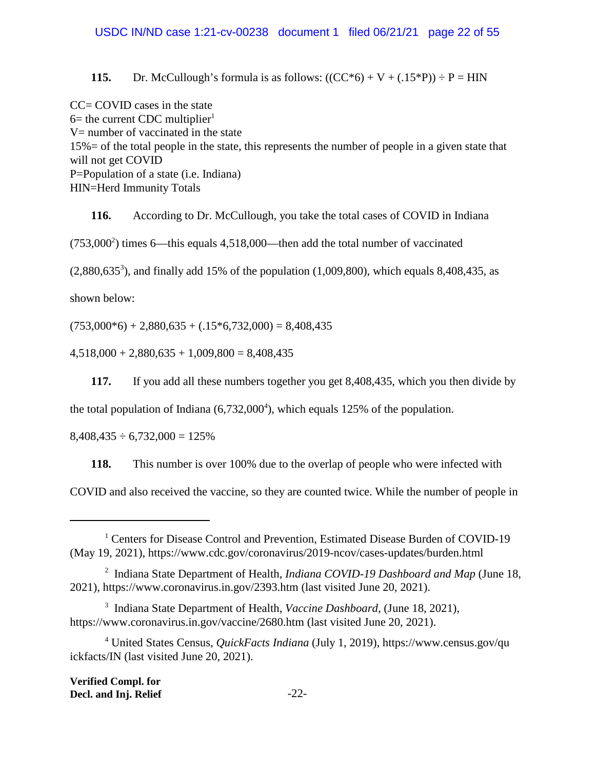**115.** Dr. McCullough's formula is as follows:  $((CC^*6) + V + (.15^*P)) \div P = HIN$ 

 $CC = COVID$  cases in the state  $6=$  the current CDC multiplier<sup>1</sup> V= number of vaccinated in the state 15%= of the total people in the state, this represents the number of people in a given state that will not get COVID P=Population of a state (i.e. Indiana) HIN=Herd Immunity Totals

**116.** According to Dr. McCullough, you take the total cases of COVID in Indiana  $(753,000^2)$  times 6—this equals 4,518,000—then add the total number of vaccinated  $(2,880,635^3)$ , and finally add 15% of the population  $(1,009,800)$ , which equals 8,408,435, as shown below:

 $(753,000*6) + 2,880,635 + (.15*6,732,000) = 8,408,435$ 

 $4,518,000 + 2,880,635 + 1,009,800 = 8,408,435$ 

**117.** If you add all these numbers together you get 8,408,435, which you then divide by

the total population of Indiana  $(6,732,000^4)$ , which equals 125% of the population.

 $8,408,435 \div 6,732,000 = 125\%$ 

**118.** This number is over 100% due to the overlap of people who were infected with

COVID and also received the vaccine, so they are counted twice. While the number of people in

<sup>&</sup>lt;sup>1</sup> Centers for Disease Control and Prevention, Estimated Disease Burden of COVID-19 (May 19, 2021), https://www.cdc.gov/coronavirus/2019-ncov/cases-updates/burden.html

<sup>2</sup> Indiana State Department of Health, *Indiana COVID-19 Dashboard and Map* (June 18, 2021), https://www.coronavirus.in.gov/2393.htm (last visited June 20, 2021).

<sup>3</sup> Indiana State Department of Health, *Vaccine Dashboard*, (June 18, 2021), https://www.coronavirus.in.gov/vaccine/2680.htm (last visited June 20, 2021).

<sup>4</sup> United States Census, *QuickFacts Indiana* (July 1, 2019), https://www.census.gov/qu ickfacts/IN (last visited June 20, 2021).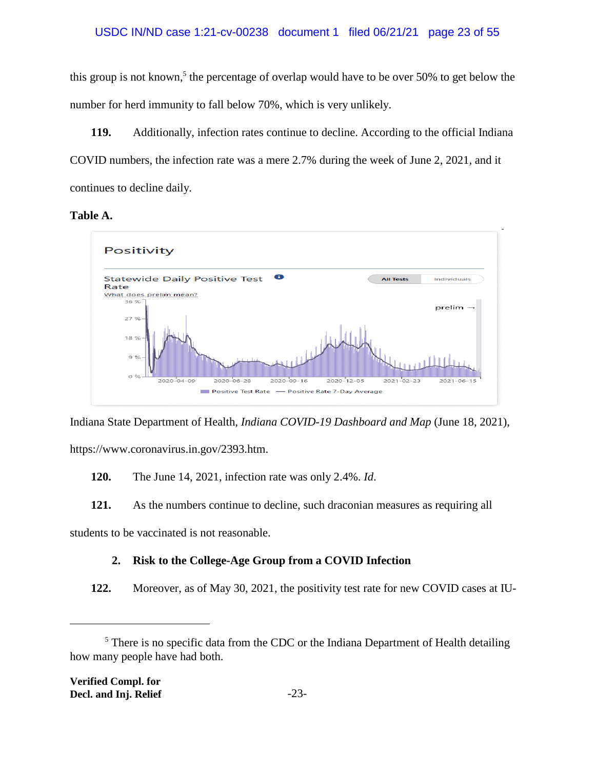this group is not known,<sup>5</sup> the percentage of overlap would have to be over 50% to get below the number for herd immunity to fall below 70%, which is very unlikely.

**119.** Additionally, infection rates continue to decline. According to the official Indiana COVID numbers, the infection rate was a mere 2.7% during the week of June 2, 2021, and it continues to decline daily.

# **Table A.**



Indiana State Department of Health, *Indiana COVID-19 Dashboard and Map* (June 18, 2021), https://www.coronavirus.in.gov/2393.htm.

**120.** The June 14, 2021, infection rate was only 2.4%. *Id*.

**121.** As the numbers continue to decline, such draconian measures as requiring all

students to be vaccinated is not reasonable.

# **2. Risk to the College-Age Group from a COVID Infection**

**122.** Moreover, as of May 30, 2021, the positivity test rate for new COVID cases at IU-

 $<sup>5</sup>$  There is no specific data from the CDC or the Indiana Department of Health detailing</sup> how many people have had both.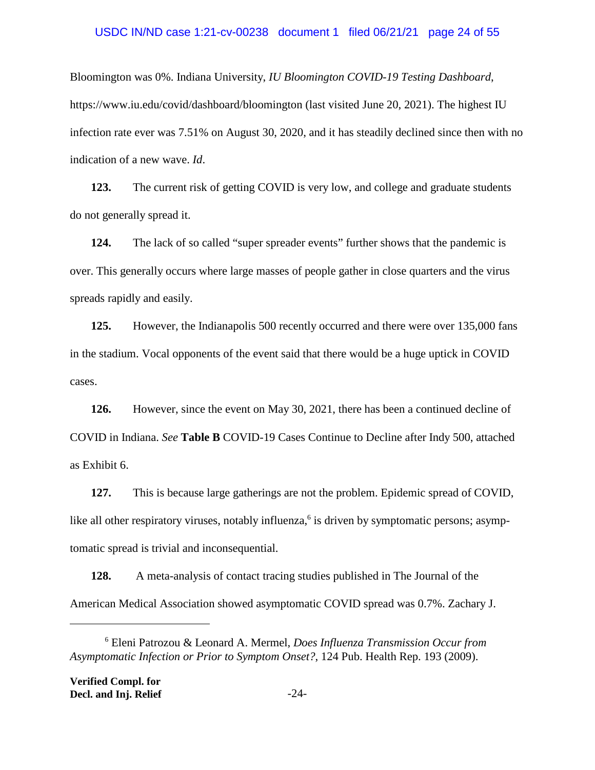#### USDC IN/ND case 1:21-cv-00238 document 1 filed 06/21/21 page 24 of 55

Bloomington was 0%. Indiana University, *IU Bloomington COVID-19 Testing Dashboard*, https://www.iu.edu/covid/dashboard/bloomington (last visited June 20, 2021). The highest IU infection rate ever was 7.51% on August 30, 2020, and it has steadily declined since then with no indication of a new wave. *Id*.

**123.** The current risk of getting COVID is very low, and college and graduate students do not generally spread it.

**124.** The lack of so called "super spreader events" further shows that the pandemic is over. This generally occurs where large masses of people gather in close quarters and the virus spreads rapidly and easily.

**125.** However, the Indianapolis 500 recently occurred and there were over 135,000 fans in the stadium. Vocal opponents of the event said that there would be a huge uptick in COVID cases.

**126.** However, since the event on May 30, 2021, there has been a continued decline of COVID in Indiana. *See* **Table B** COVID-19 Cases Continue to Decline after Indy 500, attached as Exhibit 6.

**127.** This is because large gatherings are not the problem. Epidemic spread of COVID, like all other respiratory viruses, notably influenza,<sup>6</sup> is driven by symptomatic persons; asymptomatic spread is trivial and inconsequential.

**128.** A meta-analysis of contact tracing studies published in The Journal of the American Medical Association showed asymptomatic COVID spread was 0.7%. Zachary J.

<sup>6</sup> Eleni Patrozou & Leonard A. Mermel, *Does Influenza Transmission Occur from Asymptomatic Infection or Prior to Symptom Onset?*, 124 Pub. Health Rep. 193 (2009).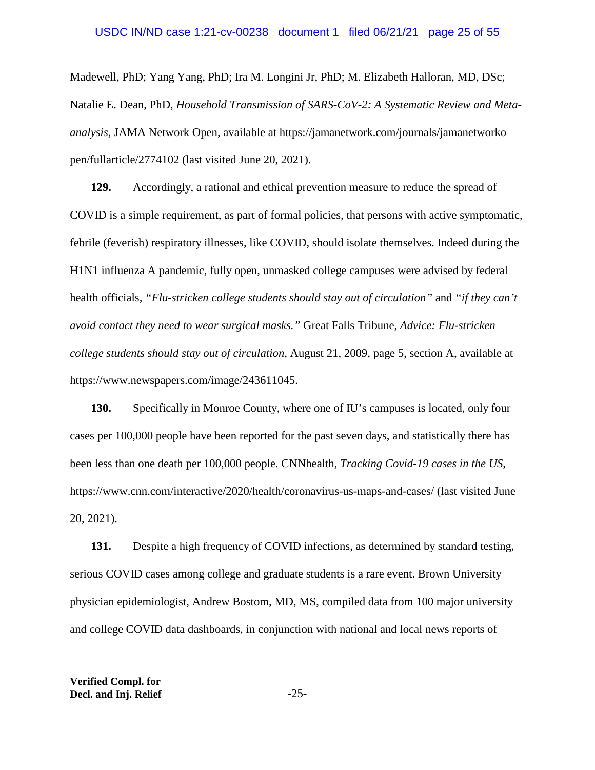#### USDC IN/ND case 1:21-cv-00238 document 1 filed 06/21/21 page 25 of 55

Madewell, PhD; Yang Yang, PhD; Ira M. Longini Jr, PhD; M. Elizabeth Halloran, MD, DSc; Natalie E. Dean, PhD, *Household Transmission of SARS-CoV-2: A Systematic Review and Metaanalysis*, JAMA Network Open, available at https://jamanetwork.com/journals/jamanetworko pen/fullarticle/2774102 (last visited June 20, 2021).

**129.** Accordingly, a rational and ethical prevention measure to reduce the spread of COVID is a simple requirement, as part of formal policies, that persons with active symptomatic, febrile (feverish) respiratory illnesses, like COVID, should isolate themselves. Indeed during the H1N1 influenza A pandemic, fully open, unmasked college campuses were advised by federal health officials*, "Flu-stricken college students should stay out of circulation"* and *"if they can't avoid contact they need to wear surgical masks."* Great Falls Tribune, *Advice: Flu-stricken college students should stay out of circulation*, August 21, 2009, page 5, section A, available at https://www.newspapers.com/image/243611045.

**130.** Specifically in Monroe County, where one of IU's campuses is located, only four cases per 100,000 people have been reported for the past seven days, and statistically there has been less than one death per 100,000 people. CNNhealth, *Tracking Covid-19 cases in the US*, https://www.cnn.com/interactive/2020/health/coronavirus-us-maps-and-cases/ (last visited June 20, 2021).

**131.** Despite a high frequency of COVID infections, as determined by standard testing, serious COVID cases among college and graduate students is a rare event. Brown University physician epidemiologist, Andrew Bostom, MD, MS, compiled data from 100 major university and college COVID data dashboards, in conjunction with national and local news reports of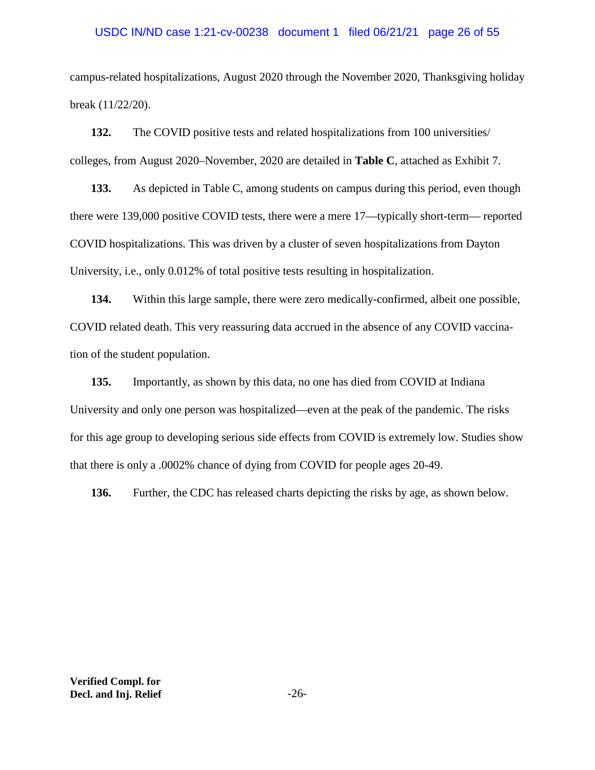## USDC IN/ND case 1:21-cv-00238 document 1 filed 06/21/21 page 26 of 55

campus-related hospitalizations, August 2020 through the November 2020, Thanksgiving holiday break (11/22/20).

**132.** The COVID positive tests and related hospitalizations from 100 universities/ colleges, from August 2020–November, 2020 are detailed in **Table C**, attached as Exhibit 7.

**133.** As depicted in Table C, among students on campus during this period, even though there were 139,000 positive COVID tests, there were a mere 17—typically short-term— reported COVID hospitalizations. This was driven by a cluster of seven hospitalizations from Dayton University, i.e., only 0.012% of total positive tests resulting in hospitalization.

**134.** Within this large sample, there were zero medically-confirmed, albeit one possible, COVID related death. This very reassuring data accrued in the absence of any COVID vaccination of the student population.

**135.** Importantly, as shown by this data, no one has died from COVID at Indiana University and only one person was hospitalized—even at the peak of the pandemic. The risks for this age group to developing serious side effects from COVID is extremely low. Studies show that there is only a .0002% chance of dying from COVID for people ages 20-49.

**136.** Further, the CDC has released charts depicting the risks by age, as shown below.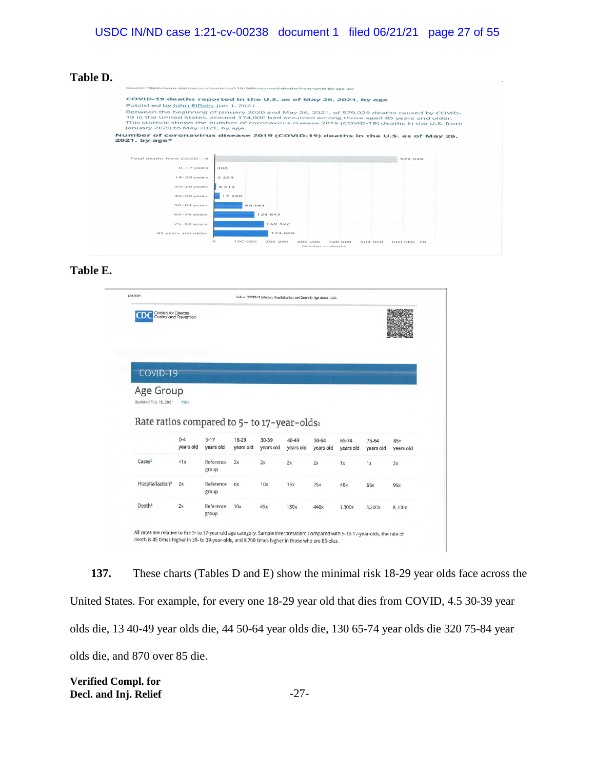**Table D.**

|                                        | COVID-19 deaths reported in the U.S. as of May 26, 2021, by age                                |
|----------------------------------------|------------------------------------------------------------------------------------------------|
| Published by John Elflein, Jun 1, 2021 |                                                                                                |
|                                        | Between the beginning of January 2020 and May 26, 2021, of 579,029 deaths caused by COVID-     |
|                                        | 19 in the United States, around 174,000 had occurred among those aged 85 years and older.      |
|                                        | This statistic shows the number of coronavirus disease 2019 (COVID-19) deaths in the U.S. from |
| January 2020 to May 2021, by age.      |                                                                                                |
| 2021, by age*                          |                                                                                                |
| Total deaths from COVID-19             | 579 029                                                                                        |
| $0-17$ years                           | 300                                                                                            |
|                                        |                                                                                                |
| $18-29$ years                          | 2.253                                                                                          |
| $30 - 39$ years                        | 6513                                                                                           |
| $40 - 49$ years                        | 17530                                                                                          |
| $50-64$ years                          | 90 363                                                                                         |
| $65 - 74$ years                        | 128 643                                                                                        |
| $75 - 84$ years                        | 159 427                                                                                        |

**Table E.**

|                                             | Centers for Disease<br>Control and Prevention |                     |                    |                    |                    |                        |                    |                    |                    |
|---------------------------------------------|-----------------------------------------------|---------------------|--------------------|--------------------|--------------------|------------------------|--------------------|--------------------|--------------------|
| COVID-19                                    |                                               |                     |                    |                    |                    |                        |                    |                    |                    |
| Age Group                                   |                                               |                     |                    |                    |                    |                        |                    |                    |                    |
| Updated Feb. 18, 2021                       | Print                                         |                     |                    |                    |                    |                        |                    |                    |                    |
|                                             |                                               |                     |                    |                    |                    |                        |                    |                    |                    |
| Rate ratios compared to 5- to 17-year-olds1 |                                               |                     |                    |                    |                    |                        |                    |                    |                    |
|                                             | $0 - 4$<br>years old                          | $5-17$<br>years old | 18-29<br>years old | 30-39<br>years old | 40-49<br>years old | $50 - 64$<br>years old | 65-74<br>years old | 75-84<br>years old | $85+$<br>years old |
| Cases <sup>2</sup>                          | < 1x                                          | Reference<br>group  | 2x                 | 2x                 | 2x                 | 2x                     | 1x                 | 1x                 | 2x                 |
| Hospitalization <sup>3</sup>                | 2x                                            | Reference<br>group  | 6x                 | 10x                | 15x                | 25x                    | 40x                | 65x                | 95x                |
| Death <sup>4</sup>                          | 2x                                            | Reference           | 10x                | 45x                | 130x               | 440x                   | 1,300x             | 3,200x             | 8,700x             |

**137.** These charts (Tables D and E) show the minimal risk 18-29 year olds face across the United States. For example, for every one 18-29 year old that dies from COVID, 4.5 30-39 year olds die, 13 40-49 year olds die, 44 50-64 year olds die, 130 65-74 year olds die 320 75-84 year olds die, and 870 over 85 die.

**Verified Compl. for Decl. and Inj. Relief** -27-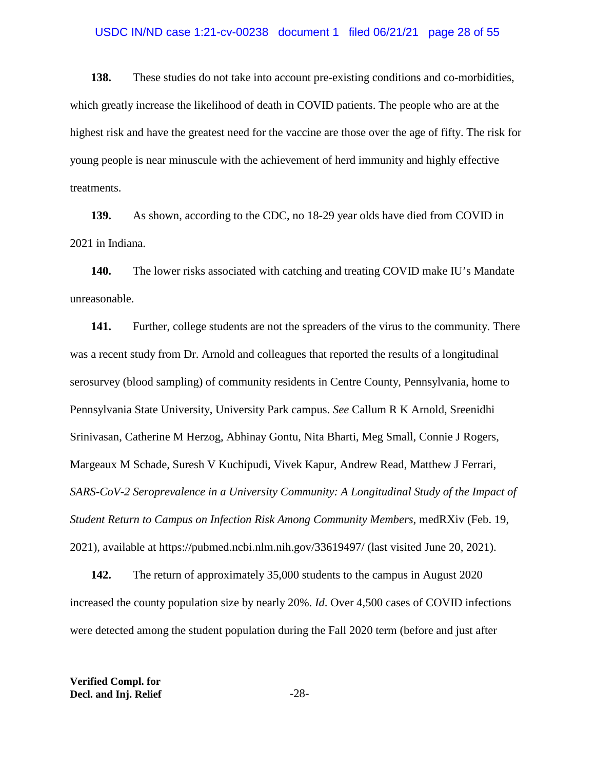### USDC IN/ND case 1:21-cv-00238 document 1 filed 06/21/21 page 28 of 55

**138.** These studies do not take into account pre-existing conditions and co-morbidities, which greatly increase the likelihood of death in COVID patients. The people who are at the highest risk and have the greatest need for the vaccine are those over the age of fifty. The risk for young people is near minuscule with the achievement of herd immunity and highly effective treatments.

**139.** As shown, according to the CDC, no 18-29 year olds have died from COVID in 2021 in Indiana.

**140.** The lower risks associated with catching and treating COVID make IU's Mandate unreasonable.

**141.** Further, college students are not the spreaders of the virus to the community. There was a recent study from Dr. Arnold and colleagues that reported the results of a longitudinal serosurvey (blood sampling) of community residents in Centre County, Pennsylvania, home to Pennsylvania State University, University Park campus. *See* Callum R K Arnold, Sreenidhi Srinivasan, Catherine M Herzog, Abhinay Gontu, Nita Bharti, Meg Small, Connie J Rogers, Margeaux M Schade, Suresh V Kuchipudi, Vivek Kapur, Andrew Read, Matthew J Ferrari, *SARS-CoV-2 Seroprevalence in a University Community: A Longitudinal Study of the Impact of Student Return to Campus on Infection Risk Among Community Members*, medRXiv (Feb. 19, 2021), available at https://pubmed.ncbi.nlm.nih.gov/33619497/ (last visited June 20, 2021).

**142.** The return of approximately 35,000 students to the campus in August 2020 increased the county population size by nearly 20%. *Id*. Over 4,500 cases of COVID infections were detected among the student population during the Fall 2020 term (before and just after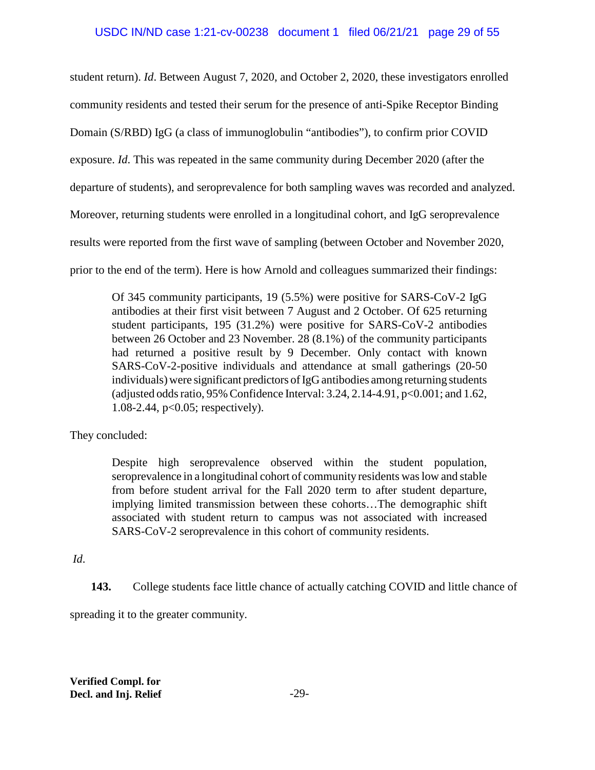student return). *Id*. Between August 7, 2020, and October 2, 2020, these investigators enrolled

community residents and tested their serum for the presence of anti-Spike Receptor Binding

Domain (S/RBD) IgG (a class of immunoglobulin "antibodies"), to confirm prior COVID

exposure. *Id*. This was repeated in the same community during December 2020 (after the

departure of students), and seroprevalence for both sampling waves was recorded and analyzed.

Moreover, returning students were enrolled in a longitudinal cohort, and IgG seroprevalence

results were reported from the first wave of sampling (between October and November 2020,

prior to the end of the term). Here is how Arnold and colleagues summarized their findings:

Of 345 community participants, 19 (5.5%) were positive for SARS-CoV-2 IgG antibodies at their first visit between 7 August and 2 October. Of 625 returning student participants, 195 (31.2%) were positive for SARS-CoV-2 antibodies between 26 October and 23 November. 28 (8.1%) of the community participants had returned a positive result by 9 December. Only contact with known SARS-CoV-2-positive individuals and attendance at small gatherings (20-50 individuals) were significant predictors of IgG antibodies among returning students (adjusted odds ratio, 95% Confidence Interval: 3.24, 2.14-4.91, p<0.001; and 1.62, 1.08-2.44, p<0.05; respectively).

They concluded:

Despite high seroprevalence observed within the student population, seroprevalence in a longitudinal cohort of community residents was low and stable from before student arrival for the Fall 2020 term to after student departure, implying limited transmission between these cohorts…The demographic shift associated with student return to campus was not associated with increased SARS-CoV-2 seroprevalence in this cohort of community residents.

*Id*.

**143.** College students face little chance of actually catching COVID and little chance of

spreading it to the greater community.

**Verified Compl. for Decl. and Inj. Relief** -29-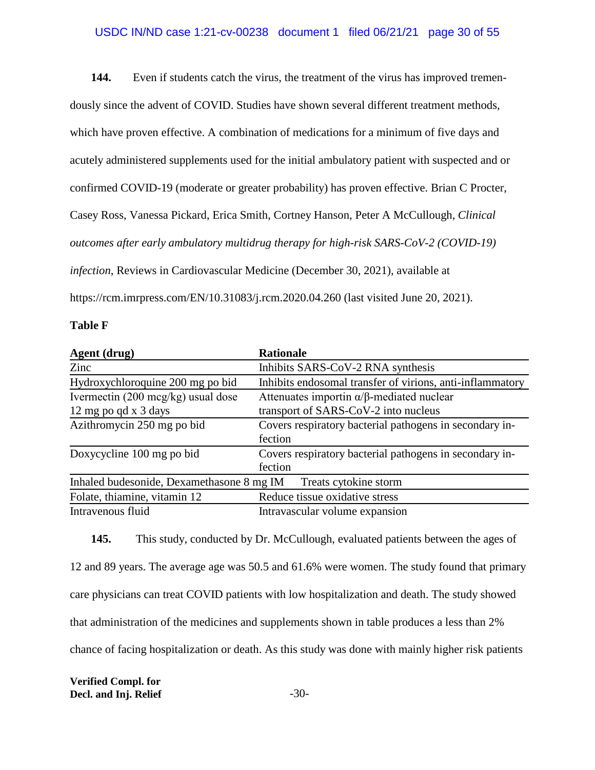## USDC IN/ND case 1:21-cv-00238 document 1 filed 06/21/21 page 30 of 55

**144.** Even if students catch the virus, the treatment of the virus has improved tremendously since the advent of COVID. Studies have shown several different treatment methods, which have proven effective. A combination of medications for a minimum of five days and acutely administered supplements used for the initial ambulatory patient with suspected and or confirmed COVID-19 (moderate or greater probability) has proven effective. Brian C Procter, Casey Ross, Vanessa Pickard, Erica Smith, Cortney Hanson, Peter A McCullough, *Clinical outcomes after early ambulatory multidrug therapy for high-risk SARS-CoV-2 (COVID-19) infection*, Reviews in Cardiovascular Medicine (December 30, 2021), available at https://rcm.imrpress.com/EN/10.31083/j.rcm.2020.04.260 (last visited June 20, 2021).

#### **Table F**

| Agent (drug)                                 | <b>Rationale</b>                                          |
|----------------------------------------------|-----------------------------------------------------------|
| Zinc                                         | Inhibits SARS-CoV-2 RNA synthesis                         |
| Hydroxychloroquine 200 mg po bid             | Inhibits endosomal transfer of virions, anti-inflammatory |
| Ivermectin $(200 \text{ mcg/kg})$ usual dose | Attenuates importin $\alpha/\beta$ -mediated nuclear      |
| 12 mg po qd x 3 days                         | transport of SARS-CoV-2 into nucleus                      |
| Azithromycin 250 mg po bid                   | Covers respiratory bacterial pathogens in secondary in-   |
|                                              | fection                                                   |
| Doxycycline 100 mg po bid                    | Covers respiratory bacterial pathogens in secondary in-   |
|                                              | fection                                                   |
| Inhaled budesonide, Dexamethasone 8 mg IM    | Treats cytokine storm                                     |
| Folate, thiamine, vitamin 12                 | Reduce tissue oxidative stress                            |
| Intravenous fluid                            | Intravascular volume expansion                            |

**145.** This study, conducted by Dr. McCullough, evaluated patients between the ages of 12 and 89 years. The average age was 50.5 and 61.6% were women. The study found that primary care physicians can treat COVID patients with low hospitalization and death. The study showed that administration of the medicines and supplements shown in table produces a less than 2% chance of facing hospitalization or death. As this study was done with mainly higher risk patients

**Verified Compl. for Decl. and Inj. Relief** -30-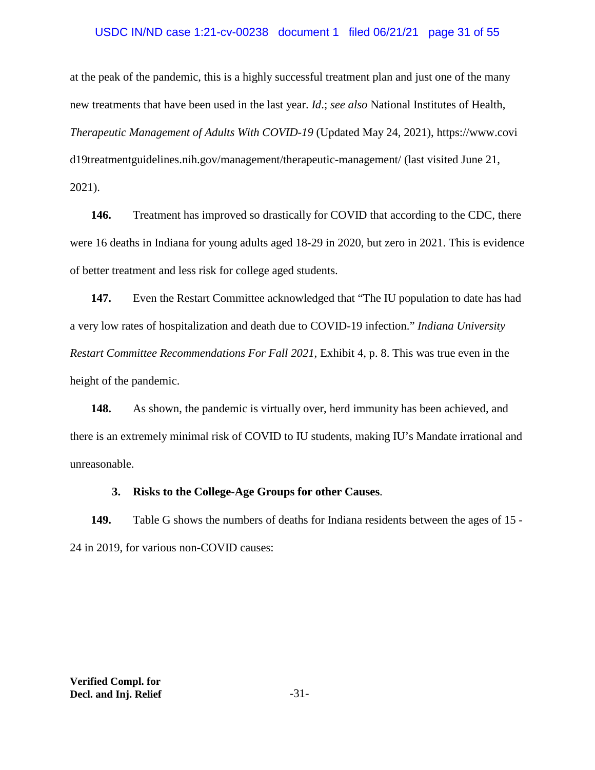## USDC IN/ND case 1:21-cv-00238 document 1 filed 06/21/21 page 31 of 55

at the peak of the pandemic, this is a highly successful treatment plan and just one of the many new treatments that have been used in the last year. *Id*.; *see also* National Institutes of Health, *Therapeutic Management of Adults With COVID-19* (Updated May 24, 2021), https://www.covi d19treatmentguidelines.nih.gov/management/therapeutic-management/ (last visited June 21, 2021).

**146.** Treatment has improved so drastically for COVID that according to the CDC, there were 16 deaths in Indiana for young adults aged 18-29 in 2020, but zero in 2021. This is evidence of better treatment and less risk for college aged students.

**147.** Even the Restart Committee acknowledged that "The IU population to date has had a very low rates of hospitalization and death due to COVID-19 infection." *Indiana University Restart Committee Recommendations For Fall 2021*, Exhibit 4, p. 8. This was true even in the height of the pandemic.

**148.** As shown, the pandemic is virtually over, herd immunity has been achieved, and there is an extremely minimal risk of COVID to IU students, making IU's Mandate irrational and unreasonable.

## **3. Risks to the College-Age Groups for other Causes**.

**149.** Table G shows the numbers of deaths for Indiana residents between the ages of 15 - 24 in 2019, for various non-COVID causes: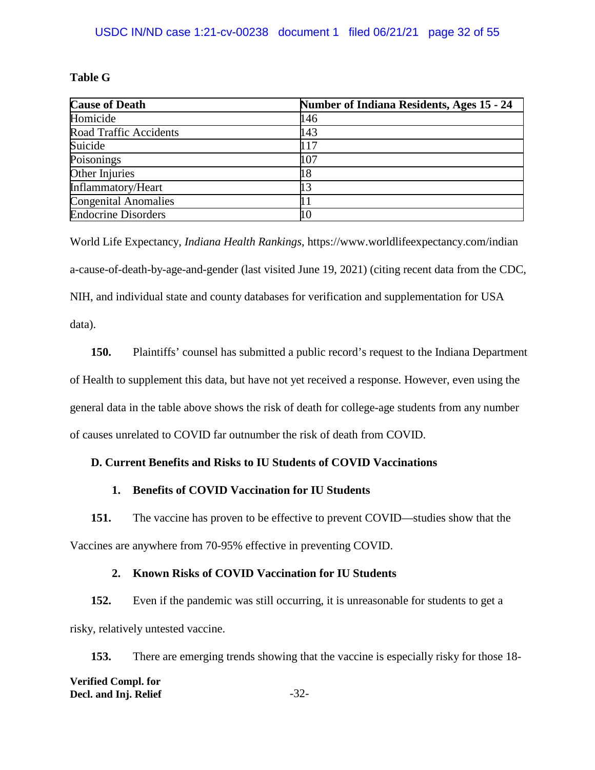# **Table G**

| <b>Cause of Death</b>         | <b>Number of Indiana Residents, Ages 15 - 24</b> |
|-------------------------------|--------------------------------------------------|
| Homicide                      | 146                                              |
| <b>Road Traffic Accidents</b> | 143                                              |
| Suicide                       | 117                                              |
| Poisonings                    | 107                                              |
| Other Injuries                |                                                  |
| Inflammatory/Heart            |                                                  |
| <b>Congenital Anomalies</b>   |                                                  |
| <b>Endocrine Disorders</b>    |                                                  |

World Life Expectancy, *Indiana Health Rankings*, https://www.worldlifeexpectancy.com/indian a-cause-of-death-by-age-and-gender (last visited June 19, 2021) (citing recent data from the CDC, NIH, and individual state and county databases for verification and supplementation for USA data).

**150.** Plaintiffs' counsel has submitted a public record's request to the Indiana Department of Health to supplement this data, but have not yet received a response. However, even using the general data in the table above shows the risk of death for college-age students from any number of causes unrelated to COVID far outnumber the risk of death from COVID.

# **D. Current Benefits and Risks to IU Students of COVID Vaccinations**

# **1. Benefits of COVID Vaccination for IU Students**

**151.** The vaccine has proven to be effective to prevent COVID—studies show that the Vaccines are anywhere from 70-95% effective in preventing COVID.

# **2. Known Risks of COVID Vaccination for IU Students**

**152.** Even if the pandemic was still occurring, it is unreasonable for students to get a risky, relatively untested vaccine.

**153.** There are emerging trends showing that the vaccine is especially risky for those 18- **Verified Compl. for Decl. and Inj. Relief**  $-32$ -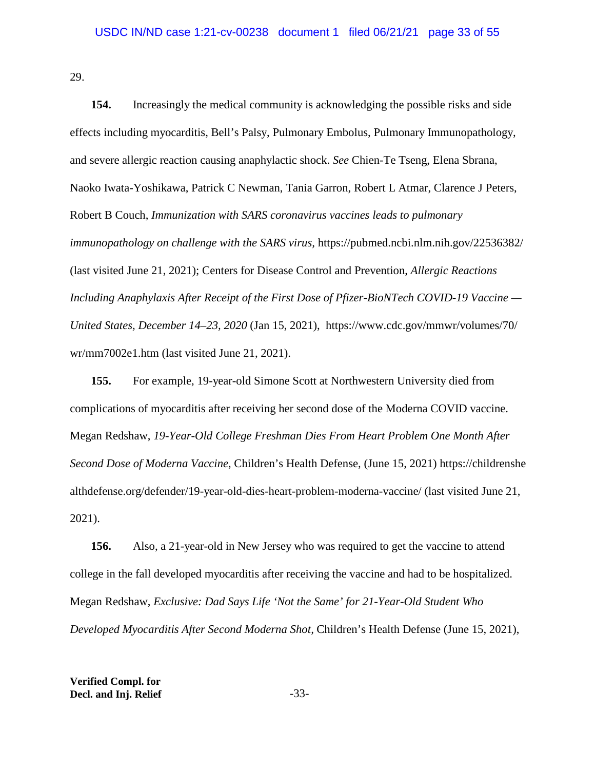29.

**154.** Increasingly the medical community is acknowledging the possible risks and side effects including myocarditis, Bell's Palsy, Pulmonary Embolus, Pulmonary Immunopathology, and severe allergic reaction causing anaphylactic shock. *See* Chien-Te Tseng, Elena Sbrana, Naoko Iwata-Yoshikawa, Patrick C Newman, Tania Garron, Robert L Atmar, Clarence J Peters, Robert B Couch, *Immunization with SARS coronavirus vaccines leads to pulmonary immunopathology on challenge with the SARS virus,* https://pubmed.ncbi.nlm.nih.gov/22536382/ (last visited June 21, 2021); Centers for Disease Control and Prevention, *Allergic Reactions Including Anaphylaxis After Receipt of the First Dose of Pfizer-BioNTech COVID-19 Vaccine — United States, December 14–23, 2020* (Jan 15, 2021), https://www.cdc.gov/mmwr/volumes/70/ wr/mm7002e1.htm (last visited June 21, 2021).

**155.** For example, 19-year-old Simone Scott at Northwestern University died from complications of myocarditis after receiving her second dose of the Moderna COVID vaccine. Megan Redshaw, *19-Year-Old College Freshman Dies From Heart Problem One Month After Second Dose of Moderna Vaccine*, Children's Health Defense, (June 15, 2021) https://childrenshe althdefense.org/defender/19-year-old-dies-heart-problem-moderna-vaccine/ (last visited June 21, 2021).

**156.** Also, a 21-year-old in New Jersey who was required to get the vaccine to attend college in the fall developed myocarditis after receiving the vaccine and had to be hospitalized. Megan Redshaw, *Exclusive: Dad Says Life 'Not the Same' for 21-Year-Old Student Who Developed Myocarditis After Second Moderna Shot,* Children's Health Defense (June 15, 2021),

**Verified Compl. for Decl. and Inj. Relief** -33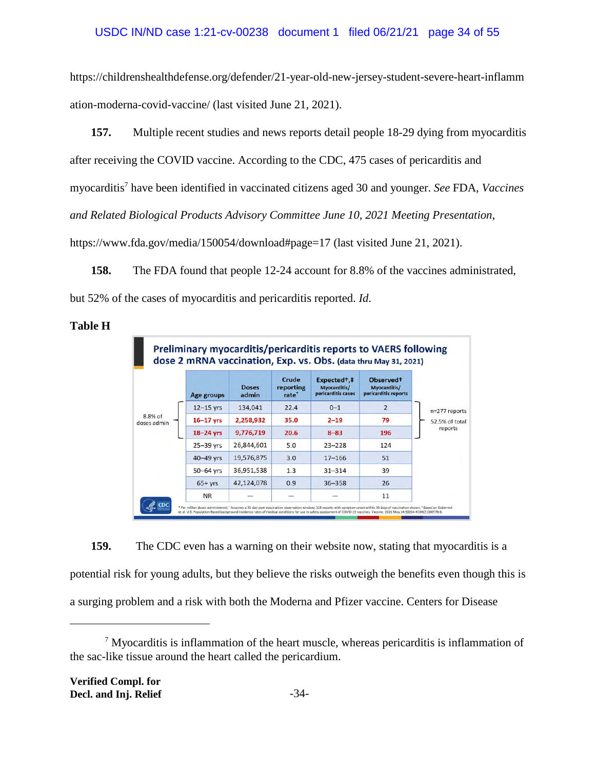https://childrenshealthdefense.org/defender/21-year-old-new-jersey-student-severe-heart-inflamm ation-moderna-covid-vaccine/ (last visited June 21, 2021).

**157.** Multiple recent studies and news reports detail people 18-29 dying from myocarditis after receiving the COVID vaccine. According to the CDC, 475 cases of pericarditis and myocarditis<sup>7</sup> have been identified in vaccinated citizens aged 30 and younger. *See* FDA, *Vaccines and Related Biological Products Advisory Committee June 10, 2021 Meeting Presentation*, https://www.fda.gov/media/150054/download#page=17 (last visited June 21, 2021).

**158.** The FDA found that people 12-24 account for 8.8% of the vaccines administrated, but 52% of the cases of myocarditis and pericarditis reported. *Id*.

## **Table H**



**159.** The CDC even has a warning on their website now, stating that myocarditis is a potential risk for young adults, but they believe the risks outweigh the benefits even though this is a surging problem and a risk with both the Moderna and Pfizer vaccine. Centers for Disease

<sup>&</sup>lt;sup>7</sup> Myocarditis is inflammation of the heart muscle, whereas pericarditis is inflammation of the sac-like tissue around the heart called the pericardium.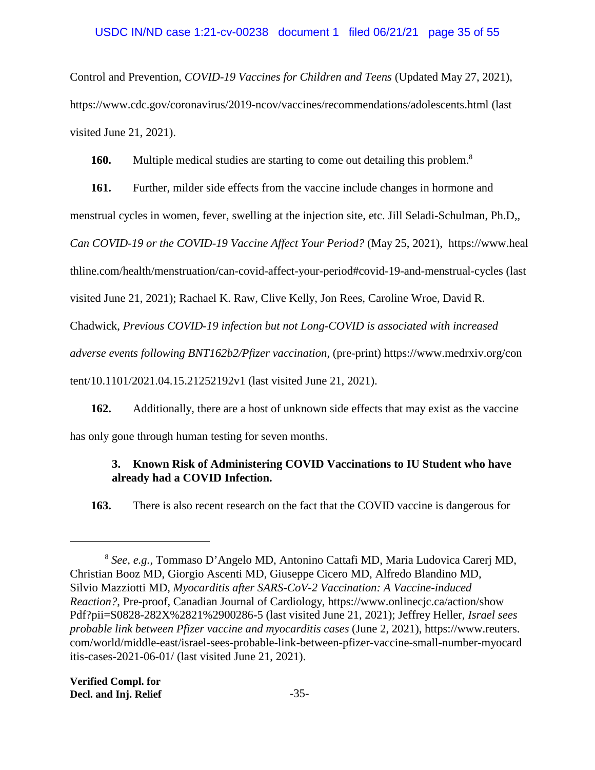Control and Prevention, *COVID-19 Vaccines for Children and Teens* (Updated May 27, 2021), https://www.cdc.gov/coronavirus/2019-ncov/vaccines/recommendations/adolescents.html (last visited June 21, 2021).

**160.** Multiple medical studies are starting to come out detailing this problem.<sup>8</sup>

**161.** Further, milder side effects from the vaccine include changes in hormone and

menstrual cycles in women, fever, swelling at the injection site, etc. Jill Seladi-Schulman, Ph.D,,

*Can COVID-19 or the COVID-19 Vaccine Affect Your Period?* (May 25, 2021), https://www.heal

thline.com/health/menstruation/can-covid-affect-your-period#covid-19-and-menstrual-cycles (last

visited June 21, 2021); Rachael K. Raw, Clive Kelly, Jon Rees, Caroline Wroe, David R.

Chadwick, *Previous COVID-19 infection but not Long-COVID is associated with increased*

*adverse events following BNT162b2/Pfizer vaccination*, (pre-print) https://www.medrxiv.org/con

tent/10.1101/2021.04.15.21252192v1 (last visited June 21, 2021).

**162.** Additionally, there are a host of unknown side effects that may exist as the vaccine has only gone through human testing for seven months.

# **3. Known Risk of Administering COVID Vaccinations to IU Student who have already had a COVID Infection.**

**163.** There is also recent research on the fact that the COVID vaccine is dangerous for

<sup>8</sup> *See, e.g.,* Tommaso D'Angelo MD, Antonino Cattafi MD, Maria Ludovica Carerj MD, Christian Booz MD, Giorgio Ascenti MD, Giuseppe Cicero MD, Alfredo Blandino MD, Silvio Mazziotti MD, *Myocarditis after SARS-CoV-2 Vaccination: A Vaccine-induced Reaction?*, Pre-proof, Canadian Journal of Cardiology, https://www.onlinecjc.ca/action/show Pdf?pii=S0828-282X%2821%2900286-5 (last visited June 21, 2021); Jeffrey Heller, *Israel sees probable link between Pfizer vaccine and myocarditis cases* (June 2, 2021), https://www.reuters. com/world/middle-east/israel-sees-probable-link-between-pfizer-vaccine-small-number-myocard itis-cases-2021-06-01/ (last visited June 21, 2021).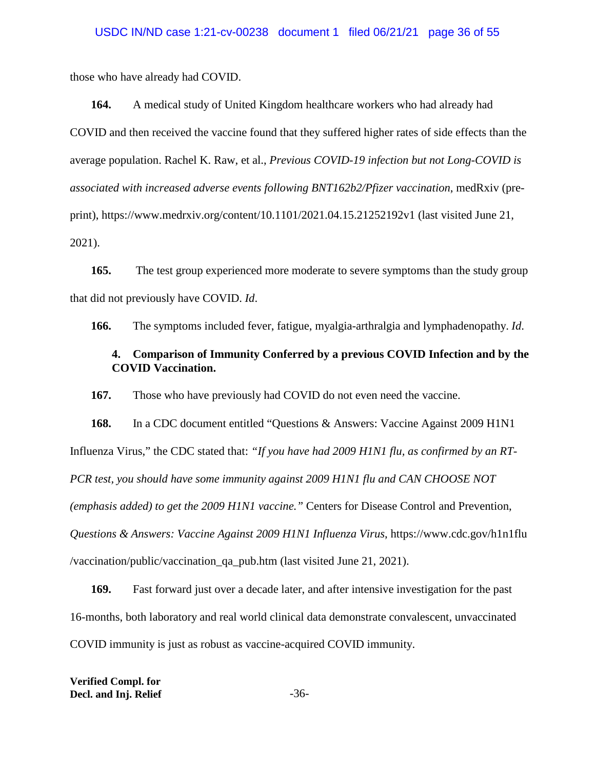those who have already had COVID.

**164.** A medical study of United Kingdom healthcare workers who had already had COVID and then received the vaccine found that they suffered higher rates of side effects than the average population. Rachel K. Raw, et al., *Previous COVID-19 infection but not Long-COVID is associated with increased adverse events following BNT162b2/Pfizer vaccination*, medRxiv (preprint), https://www.medrxiv.org/content/10.1101/2021.04.15.21252192v1 (last visited June 21, 2021).

**165.** The test group experienced more moderate to severe symptoms than the study group that did not previously have COVID. *Id*.

**166.** The symptoms included fever, fatigue, myalgia-arthralgia and lymphadenopathy. *Id*.

# **4. Comparison of Immunity Conferred by a previous COVID Infection and by the COVID Vaccination.**

**167.** Those who have previously had COVID do not even need the vaccine.

**168.** In a CDC document entitled "Questions & Answers: Vaccine Against 2009 H1N1 Influenza Virus," the CDC stated that: *"If you have had 2009 H1N1 flu, as confirmed by an RT-PCR test, you should have some immunity against 2009 H1N1 flu and CAN CHOOSE NOT (emphasis added) to get the 2009 H1N1 vaccine."* Centers for Disease Control and Prevention, *Questions & Answers: Vaccine Against 2009 H1N1 Influenza Virus*, https://www.cdc.gov/h1n1flu /vaccination/public/vaccination\_qa\_pub.htm (last visited June 21, 2021).

**169.** Fast forward just over a decade later, and after intensive investigation for the past 16-months, both laboratory and real world clinical data demonstrate convalescent, unvaccinated COVID immunity is just as robust as vaccine-acquired COVID immunity.

**Verified Compl. for Decl. and Inj. Relief** -36-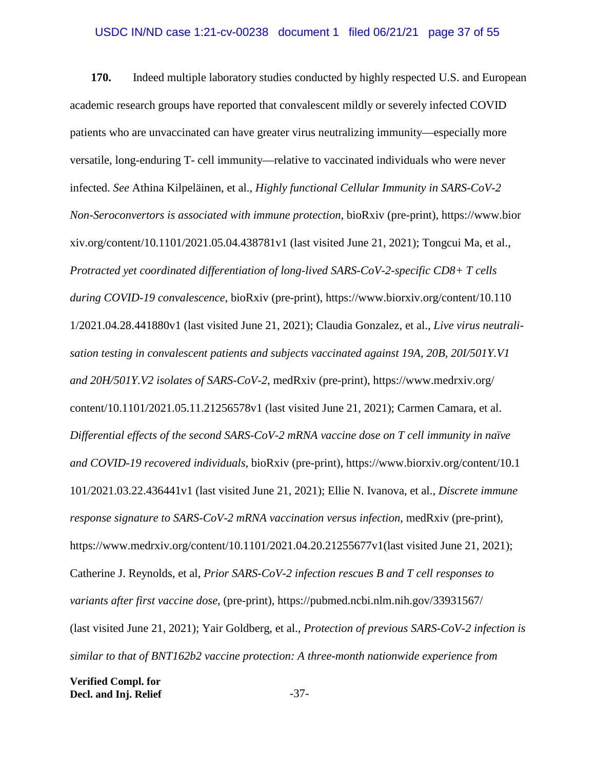## USDC IN/ND case 1:21-cv-00238 document 1 filed 06/21/21 page 37 of 55

**170.** Indeed multiple laboratory studies conducted by highly respected U.S. and European academic research groups have reported that convalescent mildly or severely infected COVID patients who are unvaccinated can have greater virus neutralizing immunity—especially more versatile, long-enduring T- cell immunity—relative to vaccinated individuals who were never infected. *See* Athina Kilpeläinen, et al., *Highly functional Cellular Immunity in SARS-CoV-2 Non-Seroconvertors is associated with immune protection*, bioRxiv (pre-print), https://www.bior xiv.org/content/10.1101/2021.05.04.438781v1 (last visited June 21, 2021); Tongcui Ma, et al., *Protracted yet coordinated differentiation of long-lived SARS-CoV-2-specific CD8+ T cells during COVID-19 convalescence*, bioRxiv (pre-print), https://www.biorxiv.org/content/10.110 1/2021.04.28.441880v1 (last visited June 21, 2021); Claudia Gonzalez, et al., *Live virus neutralisation testing in convalescent patients and subjects vaccinated against 19A, 20B, 20I/501Y.V1 and 20H/501Y.V2 isolates of SARS-CoV-2*, medRxiv (pre-print), https://www.medrxiv.org/ content/10.1101/2021.05.11.21256578v1 (last visited June 21, 2021); Carmen Camara, et al. *Differential effects of the second SARS-CoV-2 mRNA vaccine dose on T cell immunity in naïve and COVID-19 recovered individuals*, bioRxiv (pre-print), https://www.biorxiv.org/content/10.1 101/2021.03.22.436441v1 (last visited June 21, 2021); Ellie N. Ivanova, et al., *Discrete immune response signature to SARS-CoV-2 mRNA vaccination versus infection*, medRxiv (pre-print), https://www.medrxiv.org/content/10.1101/2021.04.20.21255677v1(last visited June 21, 2021); Catherine J. Reynolds, et al, *Prior SARS-CoV-2 infection rescues B and T cell responses to variants after first vaccine dose*, (pre-print), https://pubmed.ncbi.nlm.nih.gov/33931567/ (last visited June 21, 2021); Yair Goldberg, et al., *Protection of previous SARS-CoV-2 infection is similar to that of BNT162b2 vaccine protection: A three-month nationwide experience from*

**Verified Compl. for Decl. and Inj. Relief**  $-37$ -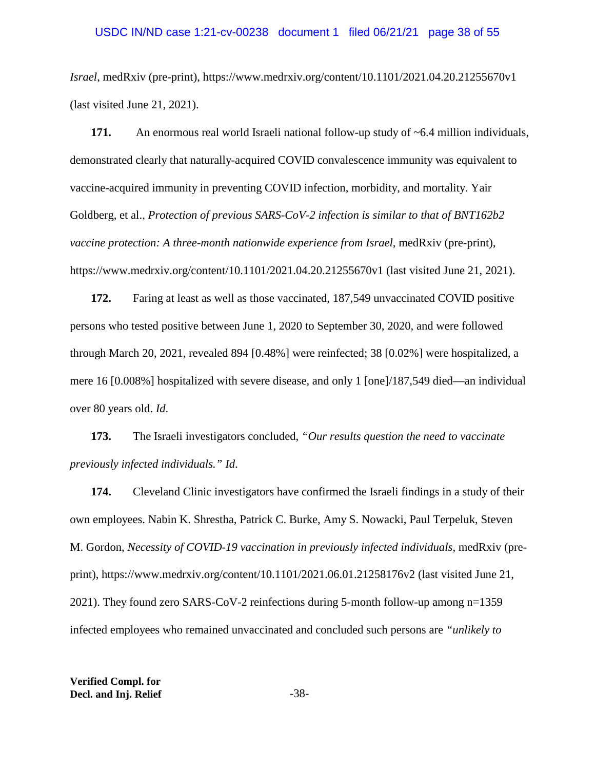#### USDC IN/ND case 1:21-cv-00238 document 1 filed 06/21/21 page 38 of 55

*Israel*, medRxiv (pre-print), https://www.medrxiv.org/content/10.1101/2021.04.20.21255670v1 (last visited June 21, 2021).

171. An enormous real world Israeli national follow-up study of ~6.4 million individuals, demonstrated clearly that naturally-acquired COVID convalescence immunity was equivalent to vaccine-acquired immunity in preventing COVID infection, morbidity, and mortality. Yair Goldberg, et al., *Protection of previous SARS-CoV-2 infection is similar to that of BNT162b2 vaccine protection: A three-month nationwide experience from Israel*, medRxiv (pre-print), https://www.medrxiv.org/content/10.1101/2021.04.20.21255670v1 (last visited June 21, 2021).

**172.** Faring at least as well as those vaccinated, 187,549 unvaccinated COVID positive persons who tested positive between June 1, 2020 to September 30, 2020, and were followed through March 20, 2021, revealed 894 [0.48%] were reinfected; 38 [0.02%] were hospitalized, a mere 16 [0.008%] hospitalized with severe disease, and only 1 [one]/187,549 died—an individual over 80 years old. *Id*.

**173.** The Israeli investigators concluded, *"Our results question the need to vaccinate previously infected individuals." Id*.

**174.** Cleveland Clinic investigators have confirmed the Israeli findings in a study of their own employees. Nabin K. Shrestha, Patrick C. Burke, Amy S. Nowacki, Paul Terpeluk, Steven M. Gordon, *Necessity of COVID-19 vaccination in previously infected individuals*, medRxiv (preprint), https://www.medrxiv.org/content/10.1101/2021.06.01.21258176v2 (last visited June 21, 2021). They found zero SARS-CoV-2 reinfections during 5-month follow-up among n=1359 infected employees who remained unvaccinated and concluded such persons are *"unlikely to*

**Verified Compl. for Decl. and Inj. Relief** -38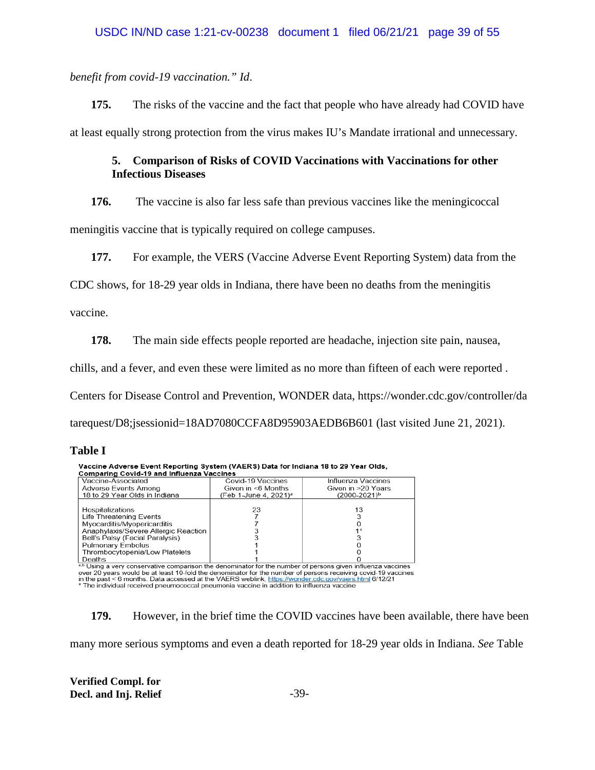*benefit from covid-19 vaccination." Id*.

**175.** The risks of the vaccine and the fact that people who have already had COVID have at least equally strong protection from the virus makes IU's Mandate irrational and unnecessary.

# **5. Comparison of Risks of COVID Vaccinations with Vaccinations for other Infectious Diseases**

**176.** The vaccine is also far less safe than previous vaccines like the meningicoccal

meningitis vaccine that is typically required on college campuses.

**177.** For example, the VERS (Vaccine Adverse Event Reporting System) data from the

CDC shows, for 18-29 year olds in Indiana, there have been no deaths from the meningitis

vaccine.

**178.** The main side effects people reported are headache, injection site pain, nausea,

chills, and a fever, and even these were limited as no more than fifteen of each were reported .

Centers for Disease Control and Prevention, WONDER data, https://wonder.cdc.gov/controller/da

tarequest/D8;jsessionid=18AD7080CCFA8D95903AEDB6B601 (last visited June 21, 2021).

## **Table I**

| Vacchile Auverse Event Reporting System (VAERS) Data for indiana 16 to 25 Tear Olus,                       |                                   |                    |  |  |  |  |
|------------------------------------------------------------------------------------------------------------|-----------------------------------|--------------------|--|--|--|--|
| <b>Comparing Covid-19 and Influenza Vaccines</b>                                                           |                                   |                    |  |  |  |  |
| Vaccine-Associated                                                                                         | Covid-19 Vaccines                 | Influenza Vaccines |  |  |  |  |
| Adverse Events Among                                                                                       | Given in <6 Months                | Given in >20 Years |  |  |  |  |
| 18 to 29 Year Olds in Indiana                                                                              | (Feb 1-June 4, 2021) <sup>a</sup> | (2000-2021)b       |  |  |  |  |
|                                                                                                            |                                   |                    |  |  |  |  |
| Hospitalizations                                                                                           | 23                                | 13                 |  |  |  |  |
| Life Threatening Events                                                                                    |                                   |                    |  |  |  |  |
| Myocarditis/Myopericarditis                                                                                |                                   |                    |  |  |  |  |
| Anaphylaxis/Severe Allergic Reaction                                                                       |                                   |                    |  |  |  |  |
| Bell's Palsy (Facial Paralysis)                                                                            |                                   |                    |  |  |  |  |
| <b>Pulmonary Embolus</b>                                                                                   |                                   |                    |  |  |  |  |
| Thrombocytopenia/Low Platelets                                                                             |                                   |                    |  |  |  |  |
| Deaths                                                                                                     |                                   |                    |  |  |  |  |
| ab Using a very conservative comparison the depominator for the number of persons given influenza vaccines |                                   |                    |  |  |  |  |

Veccine Advenue Frank Beneding System (VAEBS) Bate for Indiana 48 to 30 Vecc Olde

over 20 years would be at least 10-fold the denominator for the number of persons receiving covid-19 years would be at least 10-fold the denominator for the number of persons receiving covid-19 years in the past < 6 months

**179.** However, in the brief time the COVID vaccines have been available, there have been many more serious symptoms and even a death reported for 18-29 year olds in Indiana. *See* Table

**Verified Compl. for Decl. and Inj. Relief** -39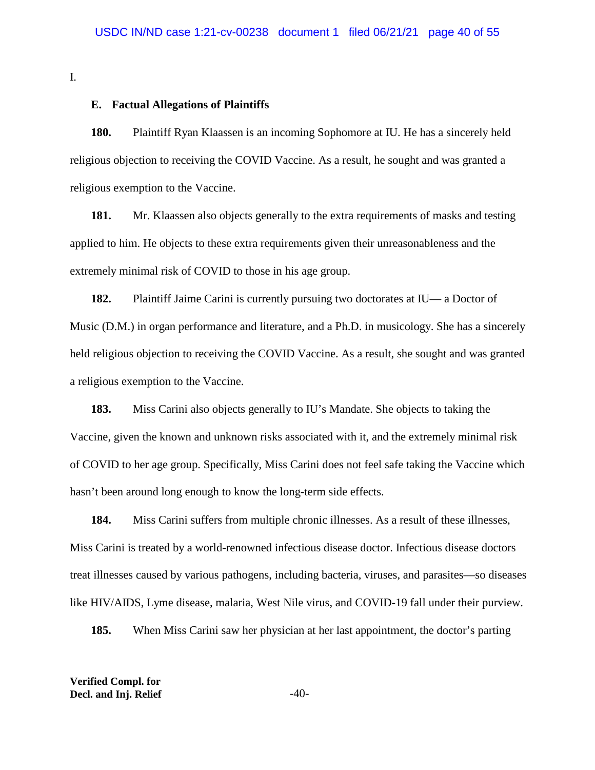I.

### **E. Factual Allegations of Plaintiffs**

**180.** Plaintiff Ryan Klaassen is an incoming Sophomore at IU. He has a sincerely held religious objection to receiving the COVID Vaccine. As a result, he sought and was granted a religious exemption to the Vaccine.

**181.** Mr. Klaassen also objects generally to the extra requirements of masks and testing applied to him. He objects to these extra requirements given their unreasonableness and the extremely minimal risk of COVID to those in his age group.

**182.** Plaintiff Jaime Carini is currently pursuing two doctorates at IU— a Doctor of Music (D.M.) in organ performance and literature, and a Ph.D. in musicology. She has a sincerely held religious objection to receiving the COVID Vaccine. As a result, she sought and was granted a religious exemption to the Vaccine.

**183.** Miss Carini also objects generally to IU's Mandate. She objects to taking the Vaccine, given the known and unknown risks associated with it, and the extremely minimal risk of COVID to her age group. Specifically, Miss Carini does not feel safe taking the Vaccine which hasn't been around long enough to know the long-term side effects.

**184.** Miss Carini suffers from multiple chronic illnesses. As a result of these illnesses, Miss Carini is treated by a world-renowned infectious disease doctor. Infectious disease doctors treat illnesses caused by various pathogens, including bacteria, viruses, and parasites—so diseases like HIV/AIDS, Lyme disease, malaria, West Nile virus, and COVID-19 fall under their purview.

**185.** When Miss Carini saw her physician at her last appointment, the doctor's parting

**Verified Compl. for Decl. and Inj. Relief**  $-40$ -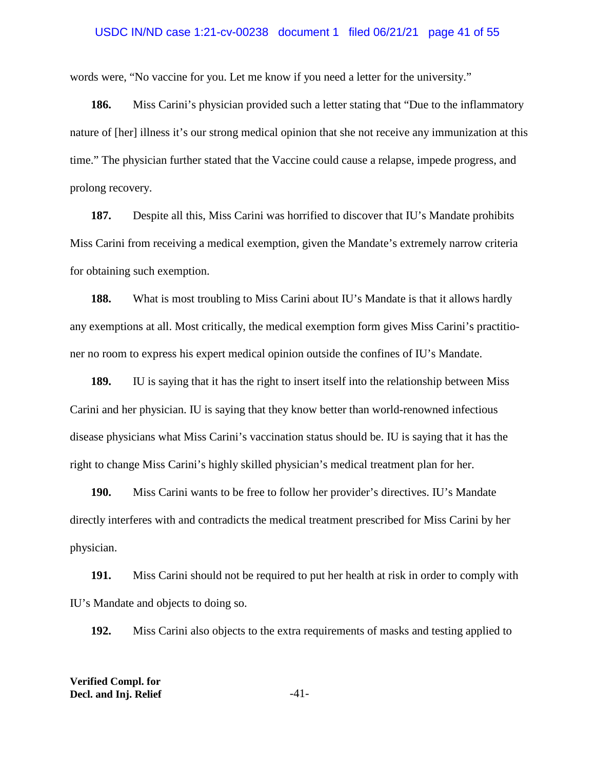#### USDC IN/ND case 1:21-cv-00238 document 1 filed 06/21/21 page 41 of 55

words were, "No vaccine for you. Let me know if you need a letter for the university."

**186.** Miss Carini's physician provided such a letter stating that "Due to the inflammatory nature of [her] illness it's our strong medical opinion that she not receive any immunization at this time." The physician further stated that the Vaccine could cause a relapse, impede progress, and prolong recovery.

**187.** Despite all this, Miss Carini was horrified to discover that IU's Mandate prohibits Miss Carini from receiving a medical exemption, given the Mandate's extremely narrow criteria for obtaining such exemption.

**188.** What is most troubling to Miss Carini about IU's Mandate is that it allows hardly any exemptions at all. Most critically, the medical exemption form gives Miss Carini's practitioner no room to express his expert medical opinion outside the confines of IU's Mandate.

**189.** IU is saying that it has the right to insert itself into the relationship between Miss Carini and her physician. IU is saying that they know better than world-renowned infectious disease physicians what Miss Carini's vaccination status should be. IU is saying that it has the right to change Miss Carini's highly skilled physician's medical treatment plan for her.

**190.** Miss Carini wants to be free to follow her provider's directives. IU's Mandate directly interferes with and contradicts the medical treatment prescribed for Miss Carini by her physician.

**191.** Miss Carini should not be required to put her health at risk in order to comply with IU's Mandate and objects to doing so.

**192.** Miss Carini also objects to the extra requirements of masks and testing applied to

**Verified Compl. for Decl. and Inj. Relief**  $-41$ -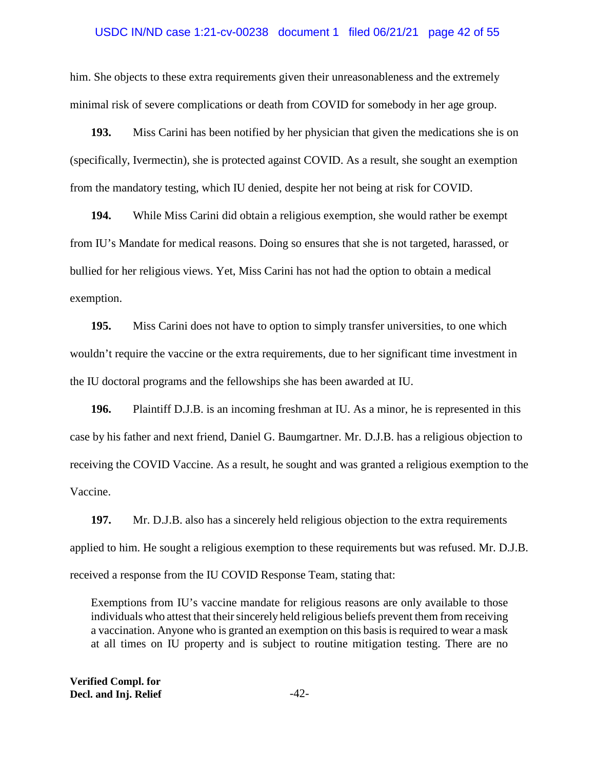### USDC IN/ND case 1:21-cv-00238 document 1 filed 06/21/21 page 42 of 55

him. She objects to these extra requirements given their unreasonableness and the extremely minimal risk of severe complications or death from COVID for somebody in her age group.

**193.** Miss Carini has been notified by her physician that given the medications she is on (specifically, Ivermectin), she is protected against COVID. As a result, she sought an exemption from the mandatory testing, which IU denied, despite her not being at risk for COVID.

**194.** While Miss Carini did obtain a religious exemption, she would rather be exempt from IU's Mandate for medical reasons. Doing so ensures that she is not targeted, harassed, or bullied for her religious views. Yet, Miss Carini has not had the option to obtain a medical exemption.

**195.** Miss Carini does not have to option to simply transfer universities, to one which wouldn't require the vaccine or the extra requirements, due to her significant time investment in the IU doctoral programs and the fellowships she has been awarded at IU.

**196.** Plaintiff D.J.B. is an incoming freshman at IU. As a minor, he is represented in this case by his father and next friend, Daniel G. Baumgartner. Mr. D.J.B. has a religious objection to receiving the COVID Vaccine. As a result, he sought and was granted a religious exemption to the Vaccine.

**197.** Mr. D.J.B. also has a sincerely held religious objection to the extra requirements applied to him. He sought a religious exemption to these requirements but was refused. Mr. D.J.B. received a response from the IU COVID Response Team, stating that:

Exemptions from IU's vaccine mandate for religious reasons are only available to those individuals who attest that their sincerely held religious beliefs prevent them from receiving a vaccination. Anyone who is granted an exemption on this basis is required to wear a mask at all times on IU property and is subject to routine mitigation testing. There are no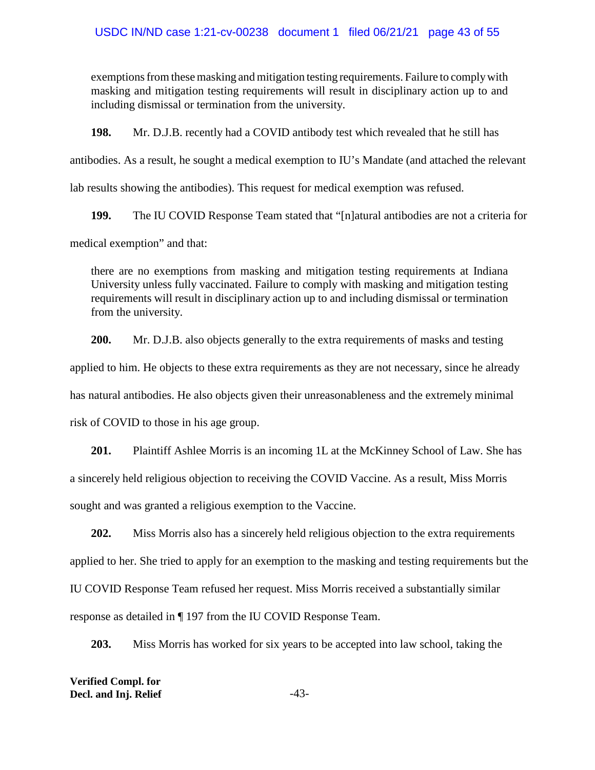exemptions from these masking and mitigation testing requirements. Failure to comply with masking and mitigation testing requirements will result in disciplinary action up to and including dismissal or termination from the university.

**198.** Mr. D.J.B. recently had a COVID antibody test which revealed that he still has

antibodies. As a result, he sought a medical exemption to IU's Mandate (and attached the relevant

lab results showing the antibodies). This request for medical exemption was refused.

**199.** The IU COVID Response Team stated that "[n]atural antibodies are not a criteria for

medical exemption" and that:

there are no exemptions from masking and mitigation testing requirements at Indiana University unless fully vaccinated. Failure to comply with masking and mitigation testing requirements will result in disciplinary action up to and including dismissal or termination from the university.

**200.** Mr. D.J.B. also objects generally to the extra requirements of masks and testing

applied to him. He objects to these extra requirements as they are not necessary, since he already

has natural antibodies. He also objects given their unreasonableness and the extremely minimal

risk of COVID to those in his age group.

**201.** Plaintiff Ashlee Morris is an incoming 1L at the McKinney School of Law. She has a sincerely held religious objection to receiving the COVID Vaccine. As a result, Miss Morris sought and was granted a religious exemption to the Vaccine.

**202.** Miss Morris also has a sincerely held religious objection to the extra requirements applied to her. She tried to apply for an exemption to the masking and testing requirements but the IU COVID Response Team refused her request. Miss Morris received a substantially similar response as detailed in ¶ 197 from the IU COVID Response Team.

**203.** Miss Morris has worked for six years to be accepted into law school, taking the

**Verified Compl. for Decl. and Inj. Relief**  $-43$ -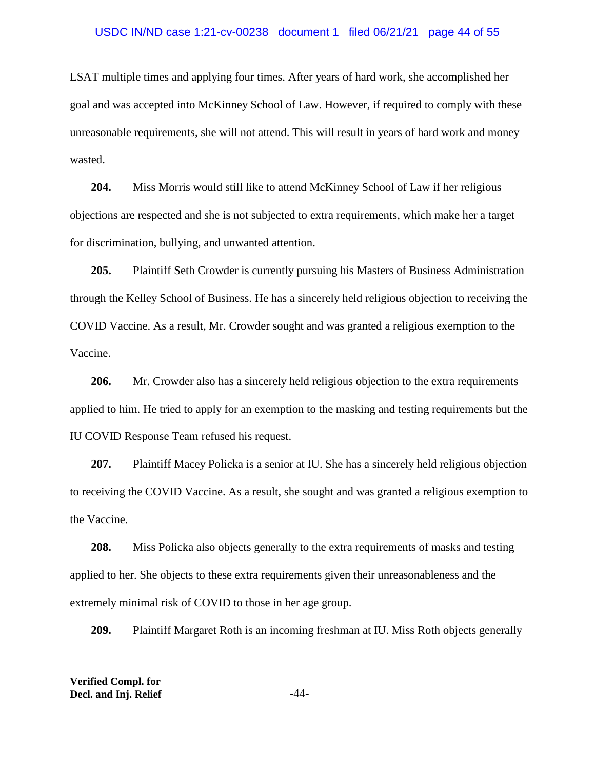#### USDC IN/ND case 1:21-cv-00238 document 1 filed 06/21/21 page 44 of 55

LSAT multiple times and applying four times. After years of hard work, she accomplished her goal and was accepted into McKinney School of Law. However, if required to comply with these unreasonable requirements, she will not attend. This will result in years of hard work and money wasted.

**204.** Miss Morris would still like to attend McKinney School of Law if her religious objections are respected and she is not subjected to extra requirements, which make her a target for discrimination, bullying, and unwanted attention.

**205.** Plaintiff Seth Crowder is currently pursuing his Masters of Business Administration through the Kelley School of Business. He has a sincerely held religious objection to receiving the COVID Vaccine. As a result, Mr. Crowder sought and was granted a religious exemption to the Vaccine.

**206.** Mr. Crowder also has a sincerely held religious objection to the extra requirements applied to him. He tried to apply for an exemption to the masking and testing requirements but the IU COVID Response Team refused his request.

**207.** Plaintiff Macey Policka is a senior at IU. She has a sincerely held religious objection to receiving the COVID Vaccine. As a result, she sought and was granted a religious exemption to the Vaccine.

**208.** Miss Policka also objects generally to the extra requirements of masks and testing applied to her. She objects to these extra requirements given their unreasonableness and the extremely minimal risk of COVID to those in her age group.

**209.** Plaintiff Margaret Roth is an incoming freshman at IU. Miss Roth objects generally

**Verified Compl. for Decl. and Inj. Relief**  $-44$ -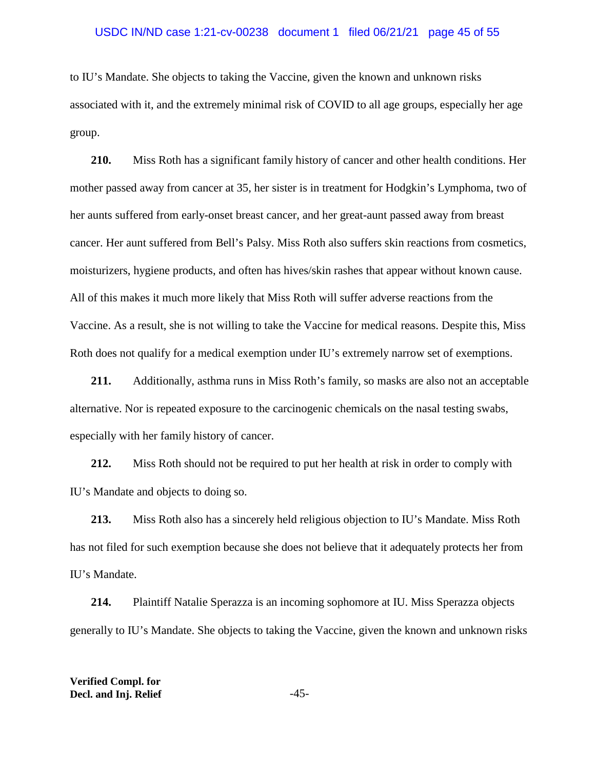#### USDC IN/ND case 1:21-cv-00238 document 1 filed 06/21/21 page 45 of 55

to IU's Mandate. She objects to taking the Vaccine, given the known and unknown risks associated with it, and the extremely minimal risk of COVID to all age groups, especially her age group.

**210.** Miss Roth has a significant family history of cancer and other health conditions. Her mother passed away from cancer at 35, her sister is in treatment for Hodgkin's Lymphoma, two of her aunts suffered from early-onset breast cancer, and her great-aunt passed away from breast cancer. Her aunt suffered from Bell's Palsy. Miss Roth also suffers skin reactions from cosmetics, moisturizers, hygiene products, and often has hives/skin rashes that appear without known cause. All of this makes it much more likely that Miss Roth will suffer adverse reactions from the Vaccine. As a result, she is not willing to take the Vaccine for medical reasons. Despite this, Miss Roth does not qualify for a medical exemption under IU's extremely narrow set of exemptions.

**211.** Additionally, asthma runs in Miss Roth's family, so masks are also not an acceptable alternative. Nor is repeated exposure to the carcinogenic chemicals on the nasal testing swabs, especially with her family history of cancer.

**212.** Miss Roth should not be required to put her health at risk in order to comply with IU's Mandate and objects to doing so.

**213.** Miss Roth also has a sincerely held religious objection to IU's Mandate. Miss Roth has not filed for such exemption because she does not believe that it adequately protects her from IU's Mandate.

**214.** Plaintiff Natalie Sperazza is an incoming sophomore at IU. Miss Sperazza objects generally to IU's Mandate. She objects to taking the Vaccine, given the known and unknown risks

**Verified Compl. for Decl. and Inj. Relief**  $-45$ -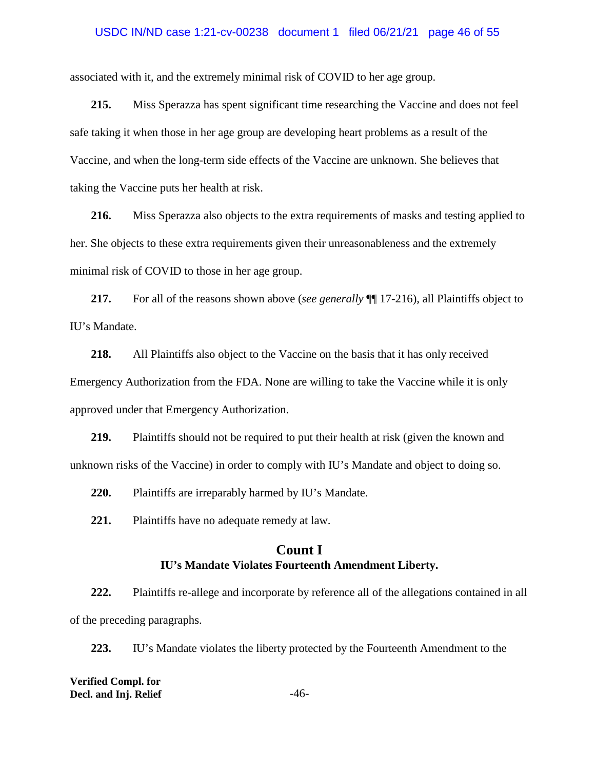#### USDC IN/ND case 1:21-cv-00238 document 1 filed 06/21/21 page 46 of 55

associated with it, and the extremely minimal risk of COVID to her age group.

**215.** Miss Sperazza has spent significant time researching the Vaccine and does not feel safe taking it when those in her age group are developing heart problems as a result of the Vaccine, and when the long-term side effects of the Vaccine are unknown. She believes that taking the Vaccine puts her health at risk.

**216.** Miss Sperazza also objects to the extra requirements of masks and testing applied to her. She objects to these extra requirements given their unreasonableness and the extremely minimal risk of COVID to those in her age group.

**217.** For all of the reasons shown above (*see generally* ¶¶ 17-216), all Plaintiffs object to IU's Mandate.

**218.** All Plaintiffs also object to the Vaccine on the basis that it has only received Emergency Authorization from the FDA. None are willing to take the Vaccine while it is only approved under that Emergency Authorization.

**219.** Plaintiffs should not be required to put their health at risk (given the known and unknown risks of the Vaccine) in order to comply with IU's Mandate and object to doing so.

**220.** Plaintiffs are irreparably harmed by IU's Mandate.

**221.** Plaintiffs have no adequate remedy at law.

# **Count I IU's Mandate Violates Fourteenth Amendment Liberty.**

**222.** Plaintiffs re-allege and incorporate by reference all of the allegations contained in all of the preceding paragraphs.

**223.** IU's Mandate violates the liberty protected by the Fourteenth Amendment to the

**Verified Compl. for Decl. and Inj. Relief**  $-46$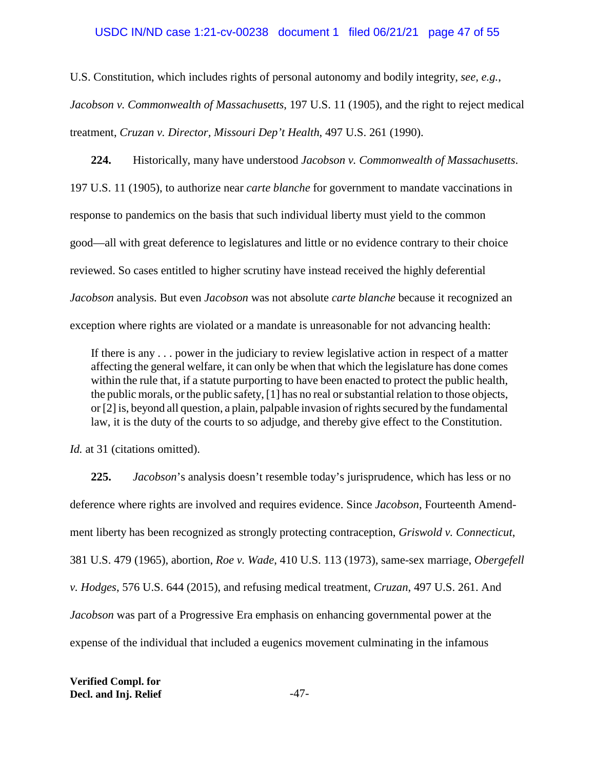### USDC IN/ND case 1:21-cv-00238 document 1 filed 06/21/21 page 47 of 55

U.S. Constitution, which includes rights of personal autonomy and bodily integrity, *see, e.g.*,

*Jacobson v. Commonwealth of Massachusetts*, 197 U.S. 11 (1905), and the right to reject medical treatment, *Cruzan v. Director, Missouri Dep't Health*, 497 U.S. 261 (1990).

**224.** Historically, many have understood *Jacobson v. Commonwealth of Massachusetts*. 197 U.S. 11 (1905), to authorize near *carte blanche* for government to mandate vaccinations in response to pandemics on the basis that such individual liberty must yield to the common good—all with great deference to legislatures and little or no evidence contrary to their choice reviewed. So cases entitled to higher scrutiny have instead received the highly deferential *Jacobson* analysis. But even *Jacobson* was not absolute *carte blanche* because it recognized an exception where rights are violated or a mandate is unreasonable for not advancing health:

If there is any . . . power in the judiciary to review legislative action in respect of a matter affecting the general welfare, it can only be when that which the legislature has done comes within the rule that, if a statute purporting to have been enacted to protect the public health, the public morals, or the public safety, [1] has no real or substantial relation to those objects, or [2] is, beyond all question, a plain, palpable invasion of rights secured by the fundamental law, it is the duty of the courts to so adjudge, and thereby give effect to the Constitution.

*Id.* at 31 (citations omitted).

**225.** *Jacobson*'s analysis doesn't resemble today's jurisprudence, which has less or no deference where rights are involved and requires evidence. Since *Jacobson*, Fourteenth Amendment liberty has been recognized as strongly protecting contraception, *Griswold v. Connecticut*, 381 U.S. 479 (1965), abortion, *Roe v. Wade*, 410 U.S. 113 (1973), same-sex marriage, *Obergefell v. Hodges*, 576 U.S. 644 (2015), and refusing medical treatment, *Cruzan*, 497 U.S. 261. And *Jacobson* was part of a Progressive Era emphasis on enhancing governmental power at the expense of the individual that included a eugenics movement culminating in the infamous

**Verified Compl. for Decl. and Inj. Relief**  $-47$ -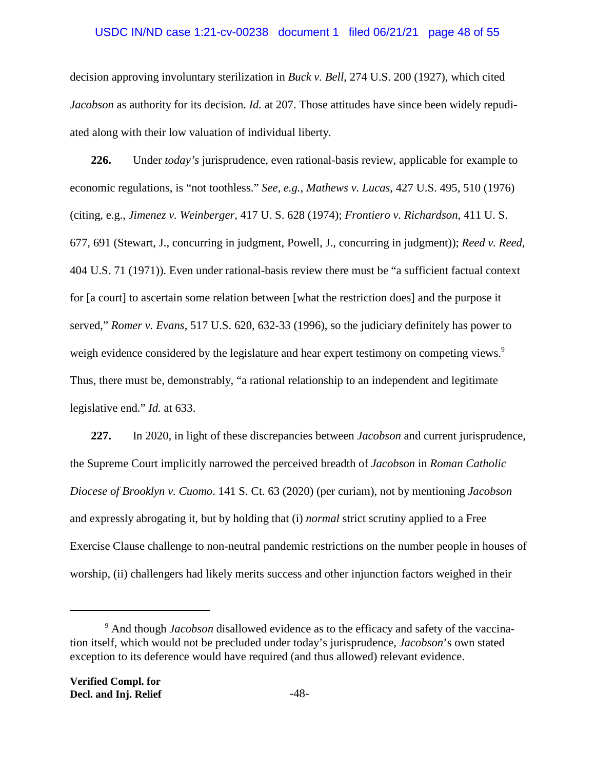## USDC IN/ND case 1:21-cv-00238 document 1 filed 06/21/21 page 48 of 55

decision approving involuntary sterilization in *Buck v. Bell*, 274 U.S. 200 (1927), which cited *Jacobson* as authority for its decision. *Id.* at 207. Those attitudes have since been widely repudiated along with their low valuation of individual liberty.

**226.** Under *today's* jurisprudence, even rational-basis review, applicable for example to economic regulations, is "not toothless." *See, e.g.*, *Mathews v. Lucas*, 427 U.S. 495, 510 (1976) (citing, e.g., *Jimenez v. Weinberger*, 417 U. S. 628 (1974); *Frontiero v. Richardson*, 411 U. S. 677, 691 (Stewart, J., concurring in judgment, Powell, J., concurring in judgment)); *Reed v. Reed*, 404 U.S. 71 (1971)). Even under rational-basis review there must be "a sufficient factual context for [a court] to ascertain some relation between [what the restriction does] and the purpose it served," *Romer v. Evans*, 517 U.S. 620, 632-33 (1996), so the judiciary definitely has power to weigh evidence considered by the legislature and hear expert testimony on competing views.<sup>9</sup> Thus, there must be, demonstrably, "a rational relationship to an independent and legitimate legislative end." *Id.* at 633.

**227.** In 2020, in light of these discrepancies between *Jacobson* and current jurisprudence, the Supreme Court implicitly narrowed the perceived breadth of *Jacobson* in *Roman Catholic Diocese of Brooklyn v. Cuomo*. 141 S. Ct. 63 (2020) (per curiam), not by mentioning *Jacobson* and expressly abrogating it, but by holding that (i) *normal* strict scrutiny applied to a Free Exercise Clause challenge to non-neutral pandemic restrictions on the number people in houses of worship, (ii) challengers had likely merits success and other injunction factors weighed in their

<sup>&</sup>lt;sup>9</sup> And though *Jacobson* disallowed evidence as to the efficacy and safety of the vaccination itself, which would not be precluded under today's jurisprudence, *Jacobson*'s own stated exception to its deference would have required (and thus allowed) relevant evidence.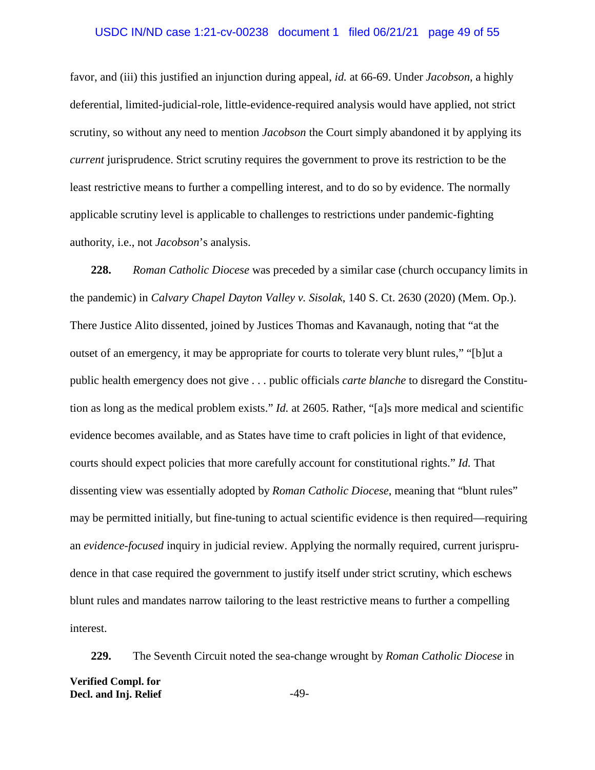## USDC IN/ND case 1:21-cv-00238 document 1 filed 06/21/21 page 49 of 55

favor, and (iii) this justified an injunction during appeal, *id.* at 66-69. Under *Jacobson*, a highly deferential, limited-judicial-role, little-evidence-required analysis would have applied, not strict scrutiny, so without any need to mention *Jacobson* the Court simply abandoned it by applying its *current* jurisprudence. Strict scrutiny requires the government to prove its restriction to be the least restrictive means to further a compelling interest, and to do so by evidence. The normally applicable scrutiny level is applicable to challenges to restrictions under pandemic-fighting authority, i.e., not *Jacobson*'s analysis.

**228.** *Roman Catholic Diocese* was preceded by a similar case (church occupancy limits in the pandemic) in *Calvary Chapel Dayton Valley v. Sisolak*, 140 S. Ct. 2630 (2020) (Mem. Op.). There Justice Alito dissented, joined by Justices Thomas and Kavanaugh, noting that "at the outset of an emergency, it may be appropriate for courts to tolerate very blunt rules," "[b]ut a public health emergency does not give . . . public officials *carte blanche* to disregard the Constitution as long as the medical problem exists." *Id.* at 2605. Rather, "[a]s more medical and scientific evidence becomes available, and as States have time to craft policies in light of that evidence, courts should expect policies that more carefully account for constitutional rights." *Id.* That dissenting view was essentially adopted by *Roman Catholic Diocese*, meaning that "blunt rules" may be permitted initially, but fine-tuning to actual scientific evidence is then required—requiring an *evidence-focused* inquiry in judicial review. Applying the normally required, current jurisprudence in that case required the government to justify itself under strict scrutiny, which eschews blunt rules and mandates narrow tailoring to the least restrictive means to further a compelling interest.

**229.** The Seventh Circuit noted the sea-change wrought by *Roman Catholic Diocese* in **Verified Compl. for Decl. and Inj. Relief**  $-49$ -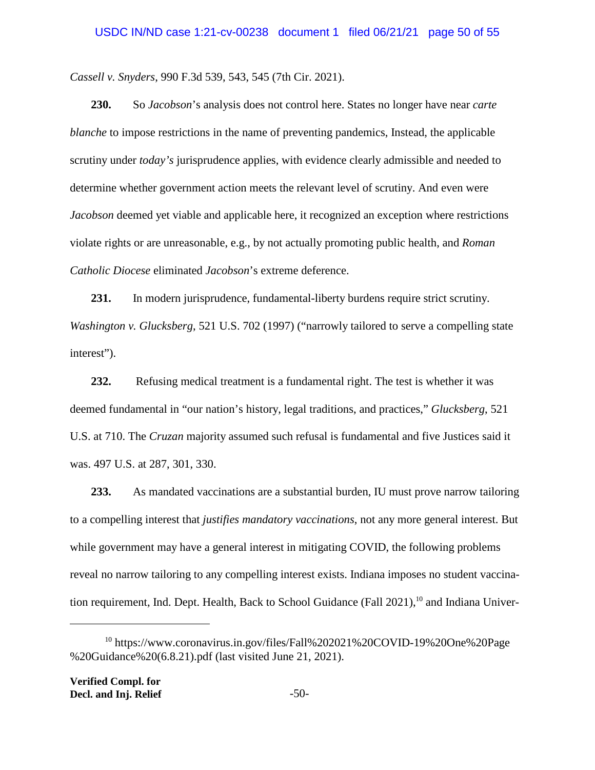*Cassell v. Snyders*, 990 F.3d 539, 543, 545 (7th Cir. 2021).

**230.** So *Jacobson*'s analysis does not control here. States no longer have near *carte blanche* to impose restrictions in the name of preventing pandemics, Instead, the applicable scrutiny under *today's* jurisprudence applies, with evidence clearly admissible and needed to determine whether government action meets the relevant level of scrutiny. And even were *Jacobson* deemed yet viable and applicable here, it recognized an exception where restrictions violate rights or are unreasonable, e.g., by not actually promoting public health, and *Roman Catholic Diocese* eliminated *Jacobson*'s extreme deference.

**231.** In modern jurisprudence, fundamental-liberty burdens require strict scrutiny. *Washington v. Glucksberg*, 521 U.S. 702 (1997) ("narrowly tailored to serve a compelling state interest").

**232.** Refusing medical treatment is a fundamental right. The test is whether it was deemed fundamental in "our nation's history, legal traditions, and practices," *Glucksberg*, 521 U.S. at 710. The *Cruzan* majority assumed such refusal is fundamental and five Justices said it was. 497 U.S. at 287, 301, 330.

**233.** As mandated vaccinations are a substantial burden, IU must prove narrow tailoring to a compelling interest that *justifies mandatory vaccinations*, not any more general interest. But while government may have a general interest in mitigating COVID, the following problems reveal no narrow tailoring to any compelling interest exists. Indiana imposes no student vaccination requirement, Ind. Dept. Health, Back to School Guidance (Fall 2021),<sup>10</sup> and Indiana Univer-

<sup>&</sup>lt;sup>10</sup> https://www.coronavirus.in.gov/files/Fall%202021%20COVID-19%20One%20Page %20Guidance%20(6.8.21).pdf (last visited June 21, 2021).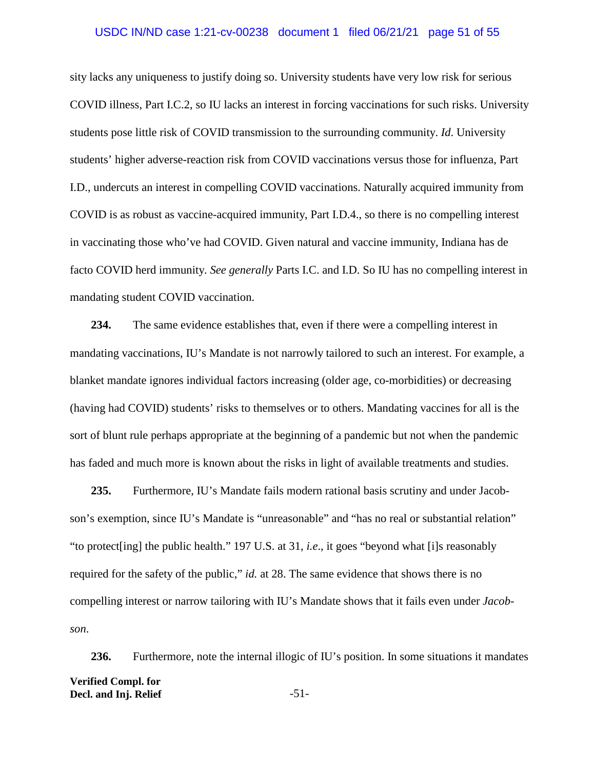## USDC IN/ND case 1:21-cv-00238 document 1 filed 06/21/21 page 51 of 55

sity lacks any uniqueness to justify doing so. University students have very low risk for serious COVID illness, Part I.C.2, so IU lacks an interest in forcing vaccinations for such risks. University students pose little risk of COVID transmission to the surrounding community. *Id*. University students' higher adverse-reaction risk from COVID vaccinations versus those for influenza, Part I.D., undercuts an interest in compelling COVID vaccinations. Naturally acquired immunity from COVID is as robust as vaccine-acquired immunity, Part I.D.4., so there is no compelling interest in vaccinating those who've had COVID. Given natural and vaccine immunity, Indiana has de facto COVID herd immunity. *See generally* Parts I.C. and I.D. So IU has no compelling interest in mandating student COVID vaccination.

**234.** The same evidence establishes that, even if there were a compelling interest in mandating vaccinations, IU's Mandate is not narrowly tailored to such an interest. For example, a blanket mandate ignores individual factors increasing (older age, co-morbidities) or decreasing (having had COVID) students' risks to themselves or to others. Mandating vaccines for all is the sort of blunt rule perhaps appropriate at the beginning of a pandemic but not when the pandemic has faded and much more is known about the risks in light of available treatments and studies.

**235.** Furthermore, IU's Mandate fails modern rational basis scrutiny and under Jacobson's exemption, since IU's Mandate is "unreasonable" and "has no real or substantial relation" "to protect[ing] the public health." 197 U.S. at 31, *i.e*., it goes "beyond what [i]s reasonably required for the safety of the public," *id.* at 28. The same evidence that shows there is no compelling interest or narrow tailoring with IU's Mandate shows that it fails even under *Jacobson*.

236. Furthermore, note the internal illogic of IU's position. In some situations it mandates **Verified Compl. for Decl. and Inj. Relief**  $-51$ -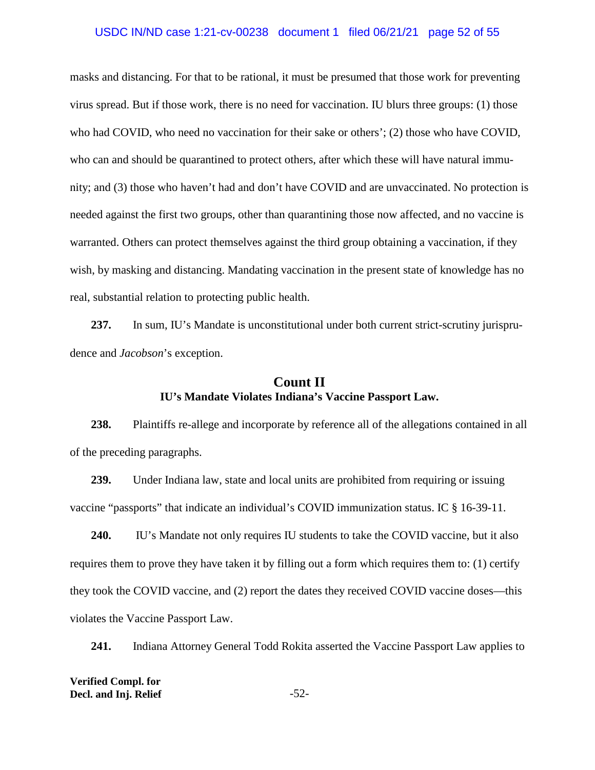#### USDC IN/ND case 1:21-cv-00238 document 1 filed 06/21/21 page 52 of 55

masks and distancing. For that to be rational, it must be presumed that those work for preventing virus spread. But if those work, there is no need for vaccination. IU blurs three groups: (1) those who had COVID, who need no vaccination for their sake or others'; (2) those who have COVID, who can and should be quarantined to protect others, after which these will have natural immunity; and (3) those who haven't had and don't have COVID and are unvaccinated. No protection is needed against the first two groups, other than quarantining those now affected, and no vaccine is warranted. Others can protect themselves against the third group obtaining a vaccination, if they wish, by masking and distancing. Mandating vaccination in the present state of knowledge has no real, substantial relation to protecting public health.

**237.** In sum, IU's Mandate is unconstitutional under both current strict-scrutiny jurisprudence and *Jacobson*'s exception.

# **Count II IU's Mandate Violates Indiana's Vaccine Passport Law.**

**238.** Plaintiffs re-allege and incorporate by reference all of the allegations contained in all of the preceding paragraphs.

**239.** Under Indiana law, state and local units are prohibited from requiring or issuing vaccine "passports" that indicate an individual's COVID immunization status. IC § 16-39-11.

**240.** IU's Mandate not only requires IU students to take the COVID vaccine, but it also requires them to prove they have taken it by filling out a form which requires them to: (1) certify they took the COVID vaccine, and (2) report the dates they received COVID vaccine doses—this violates the Vaccine Passport Law.

**241.** Indiana Attorney General Todd Rokita asserted the Vaccine Passport Law applies to

**Verified Compl. for Decl. and Inj. Relief** -52-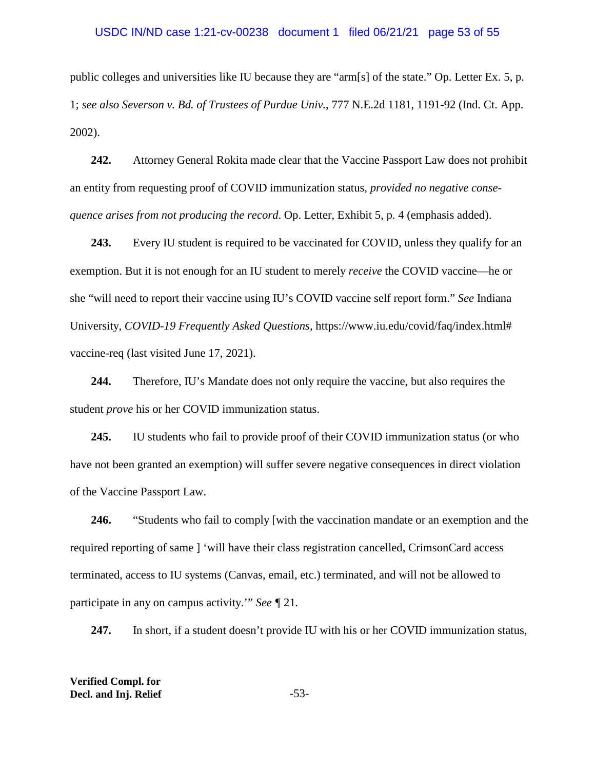#### USDC IN/ND case 1:21-cv-00238 document 1 filed 06/21/21 page 53 of 55

public colleges and universities like IU because they are "arm[s] of the state." Op. Letter Ex. 5, p. 1; *see also Severson v. Bd. of Trustees of Purdue Univ.*, 777 N.E.2d 1181, 1191-92 (Ind. Ct. App. 2002).

**242.** Attorney General Rokita made clear that the Vaccine Passport Law does not prohibit an entity from requesting proof of COVID immunization status*, provided no negative consequence arises from not producing the record*. Op. Letter, Exhibit 5, p. 4 (emphasis added).

**243.** Every IU student is required to be vaccinated for COVID, unless they qualify for an exemption. But it is not enough for an IU student to merely *receive* the COVID vaccine—he or she "will need to report their vaccine using IU's COVID vaccine self report form." *See* Indiana University, *COVID-19 Frequently Asked Questions*, https://www.iu.edu/covid/faq/index.html# vaccine-req (last visited June 17, 2021).

**244.** Therefore, IU's Mandate does not only require the vaccine, but also requires the student *prove* his or her COVID immunization status.

**245.** IU students who fail to provide proof of their COVID immunization status (or who have not been granted an exemption) will suffer severe negative consequences in direct violation of the Vaccine Passport Law.

**246.** "Students who fail to comply [with the vaccination mandate or an exemption and the required reporting of same ] 'will have their class registration cancelled, CrimsonCard access terminated, access to IU systems (Canvas, email, etc.) terminated, and will not be allowed to participate in any on campus activity.'" *See ¶* 21*.*

**247.** In short, if a student doesn't provide IU with his or her COVID immunization status,

**Verified Compl. for Decl. and Inj. Relief** -53-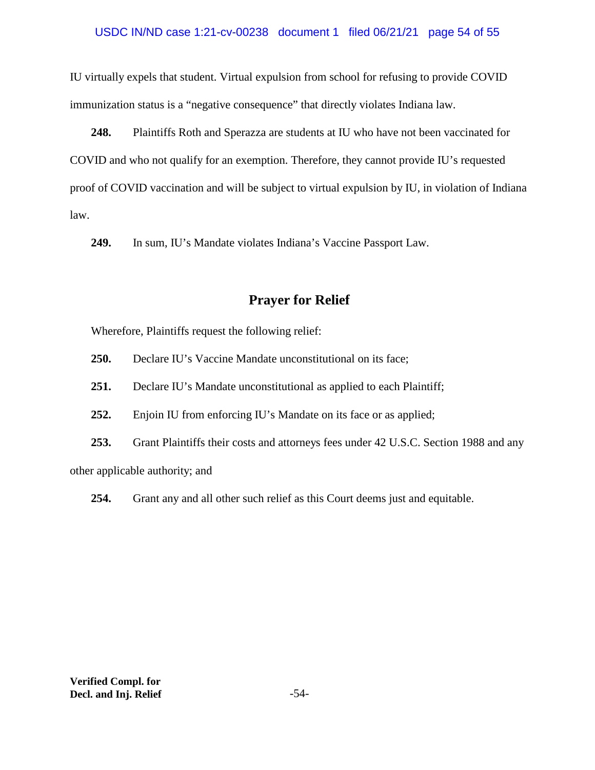## USDC IN/ND case 1:21-cv-00238 document 1 filed 06/21/21 page 54 of 55

IU virtually expels that student. Virtual expulsion from school for refusing to provide COVID immunization status is a "negative consequence" that directly violates Indiana law.

**248.** Plaintiffs Roth and Sperazza are students at IU who have not been vaccinated for COVID and who not qualify for an exemption. Therefore, they cannot provide IU's requested proof of COVID vaccination and will be subject to virtual expulsion by IU, in violation of Indiana law.

**249.** In sum, IU's Mandate violates Indiana's Vaccine Passport Law.

# **Prayer for Relief**

Wherefore, Plaintiffs request the following relief:

- **250.** Declare IU's Vaccine Mandate unconstitutional on its face;
- **251.** Declare IU's Mandate unconstitutional as applied to each Plaintiff;
- **252.** Enjoin IU from enforcing IU's Mandate on its face or as applied;
- **253.** Grant Plaintiffs their costs and attorneys fees under 42 U.S.C. Section 1988 and any

other applicable authority; and

**254.** Grant any and all other such relief as this Court deems just and equitable.